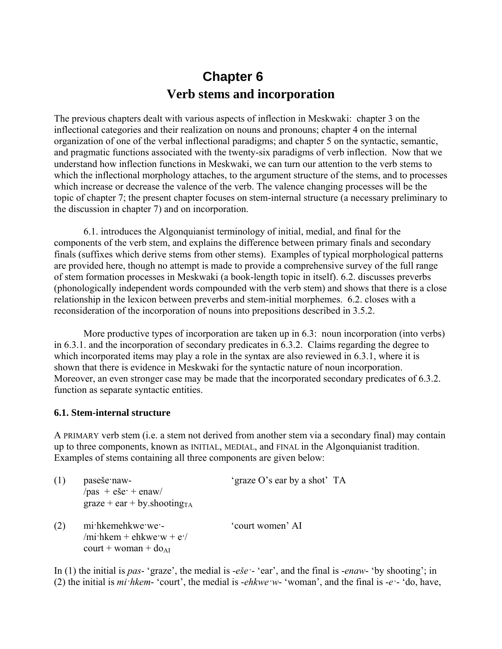# **Chapter 6 Verb stems and incorporation**

The previous chapters dealt with various aspects of inflection in Meskwaki: chapter 3 on the inflectional categories and their realization on nouns and pronouns; chapter 4 on the internal organization of one of the verbal inflectional paradigms; and chapter 5 on the syntactic, semantic, and pragmatic functions associated with the twenty-six paradigms of verb inflection. Now that we understand how inflection functions in Meskwaki, we can turn our attention to the verb stems to which the inflectional morphology attaches, to the argument structure of the stems, and to processes which increase or decrease the valence of the verb. The valence changing processes will be the topic of chapter 7; the present chapter focuses on stem-internal structure (a necessary preliminary to the discussion in chapter 7) and on incorporation.

6.1. introduces the Algonquianist terminology of initial, medial, and final for the components of the verb stem, and explains the difference between primary finals and secondary finals (suffixes which derive stems from other stems). Examples of typical morphological patterns are provided here, though no attempt is made to provide a comprehensive survey of the full range of stem formation processes in Meskwaki (a book-length topic in itself). 6.2. discusses preverbs (phonologically independent words compounded with the verb stem) and shows that there is a close relationship in the lexicon between preverbs and stem-initial morphemes. 6.2. closes with a reconsideration of the incorporation of nouns into prepositions described in 3.5.2.

More productive types of incorporation are taken up in 6.3: noun incorporation (into verbs) in 6.3.1. and the incorporation of secondary predicates in 6.3.2. Claims regarding the degree to which incorporated items may play a role in the syntax are also reviewed in 6.3.1, where it is shown that there is evidence in Meskwaki for the syntactic nature of noun incorporation. Moreover, an even stronger case may be made that the incorporated secondary predicates of 6.3.2. function as separate syntactic entities.

#### **6.1. Stem-internal structure**

A PRIMARY verb stem (i.e. a stem not derived from another stem via a secondary final) may contain up to three components, known as INITIAL, MEDIAL, and FINAL in the Algonquianist tradition. Examples of stems containing all three components are given below:

|     | paseše naw-<br>$-pas + e\breve{se}$ + enaw/                                                            | 'graze O's ear by a shot' TA |
|-----|--------------------------------------------------------------------------------------------------------|------------------------------|
|     | $graze + ear + by. shootingTA$                                                                         |                              |
| (2) | mi hkemehkwe we -<br>/mi·hkem + ehkwe·w + e·/<br>$\text{court} + \text{woman} + \text{do}_{\text{AI}}$ | 'court women' AI             |

In (1) the initial is *pas*- 'graze', the medial is -*eše·*- 'ear', and the final is -*enaw*- 'by shooting'; in (2) the initial is *mi·hkem*- 'court', the medial is -*ehkwe·w*- 'woman', and the final is -*e·*- 'do, have,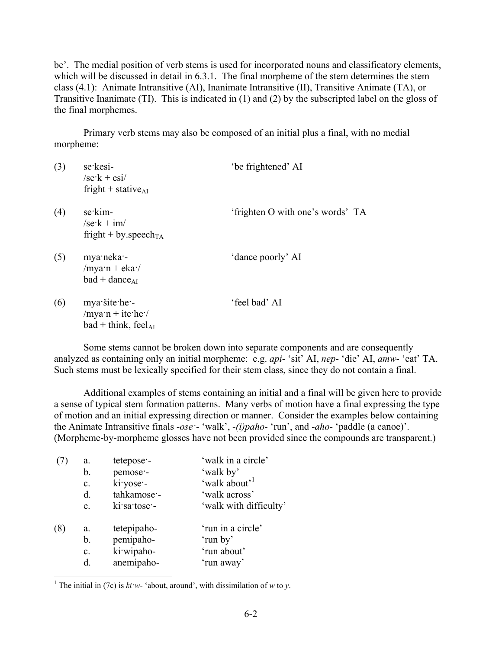be'. The medial position of verb stems is used for incorporated nouns and classificatory elements, which will be discussed in detail in 6.3.1. The final morpheme of the stem determines the stem class (4.1): Animate Intransitive (AI), Inanimate Intransitive (II), Transitive Animate (TA), or Transitive Inanimate (TI). This is indicated in (1) and (2) by the subscripted label on the gloss of the final morphemes.

Primary verb stems may also be composed of an initial plus a final, with no medial morpheme:

| (3) | se kesi-<br>$\sqrt{\text{se} \cdot \text{k} + \text{es} \cdot \text{k}}$<br>fright + stative <sub>AI</sub> | 'be frightened' AI               |
|-----|------------------------------------------------------------------------------------------------------------|----------------------------------|
| (4) | se kim-<br>$\sqrt{\text{se} \cdot \text{k} + \text{im}}$<br>fright + by speech <sub>TA</sub>               | 'frighten O with one's words' TA |
| (5) | mya neka -<br>$/$ mya·n + eka· $/$<br>$bad + dance_{AI}$                                                   | 'dance poorly' AI                |
| (6) | mya šite he -<br>$/$ mya·n + ite·he·/<br>$bad + think, feelAI$                                             | 'feel bad' AI                    |

Some stems cannot be broken down into separate components and are consequently analyzed as containing only an initial morpheme: e.g. *api*- 'sit' AI, *nep*- 'die' AI, *amw*- 'eat' TA. Such stems must be lexically specified for their stem class, since they do not contain a final.

Additional examples of stems containing an initial and a final will be given here to provide a sense of typical stem formation patterns. Many verbs of motion have a final expressing the type of motion and an initial expressing direction or manner. Consider the examples below containing the Animate Intransitive finals -*ose·*- 'walk', *-(i)paho*- 'run', and -*aho*- 'paddle (a canoe)'. (Morpheme-by-morpheme glosses have not been provided since the compounds are transparent.)

|     | a.             | tetepose -   | 'walk in a circle'        |
|-----|----------------|--------------|---------------------------|
|     | b.             | pemose -     | 'walk by'                 |
|     | $\mathbf{c}$ . | ki yose -    | 'walk about' <sup>1</sup> |
|     | $d_{\cdot}$    | tahkamose-   | 'walk across'             |
|     | e.             | ki sa tose - | 'walk with difficulty'    |
| (8) | a.             | tetepipaho-  | 'run in a circle'         |
|     | b.             | pemipaho-    | 'run by'                  |
|     | $\mathbf{c}$ . | ki wipaho-   | 'run about'               |
|     | d.             | anemipaho-   | 'run away'                |

<sup>&</sup>lt;sup>1</sup> The initial in (7c) is  $ki·w-$  'about, around', with dissimilation of *w* to *y*.

<u>.</u>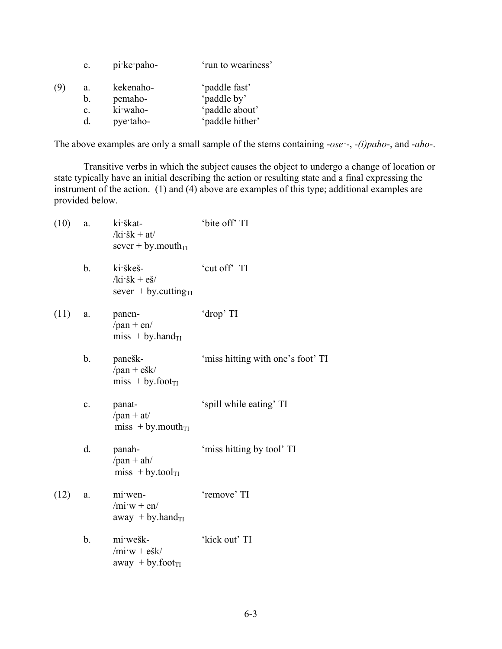| e.                                     | $pi$ ke paho-                                 | 'run to weariness'                                                |
|----------------------------------------|-----------------------------------------------|-------------------------------------------------------------------|
| (9<br>a.<br>b.<br>$\mathbf{c}$ .<br>d. | kekenaho-<br>pemaho-<br>ki waho-<br>pye taho- | 'paddle fast'<br>'paddle by'<br>'paddle about'<br>'paddle hither' |

The above examples are only a small sample of the stems containing -*ose·*-, *-(i)paho*-, and -*aho*-.

Transitive verbs in which the subject causes the object to undergo a change of location or state typically have an initial describing the action or resulting state and a final expressing the instrument of the action. (1) and (4) above are examples of this type; additional examples are provided below.

| (10) | a.             | ki škat-<br>$/ki\dot{s}k + at/$<br>sever + by mouth $_{TI}$                            | 'bite off' TI                     |
|------|----------------|----------------------------------------------------------------------------------------|-----------------------------------|
|      | b.             | ki škeš-<br>$/ki \cdot \check{s}k + e \check{s}$<br>sever $+$ by cutting <sub>TI</sub> | 'cut off' TI                      |
| (11) | a.             | panen-<br>$/$ pan + en $/$<br>miss + by.hand $_{TI}$                                   | 'drop' TI                         |
|      | b.             | panešk-<br>$/$ pan + ešk $/$<br>$miss + by footTI$                                     | 'miss hitting with one's foot' TI |
|      | $\mathbf{c}$ . | panat-<br>$/$ pan + at $/$<br>$miss + by mouthTI$                                      | 'spill while eating' TI           |
|      | d.             | panah-<br>$/pan + ah/$<br>$miss + by.toolTI$                                           | 'miss hitting by tool' TI         |
| (12) | a.             | mi wen-<br>$/mi\cdot w + en/$<br>away + by.hand $_{TI}$                                | 'remove' TI                       |
|      | b.             | mi wešk-<br>$/mi\cdot w + ešk/$<br>away + by.foot $_{TI}$                              | 'kick out' TI                     |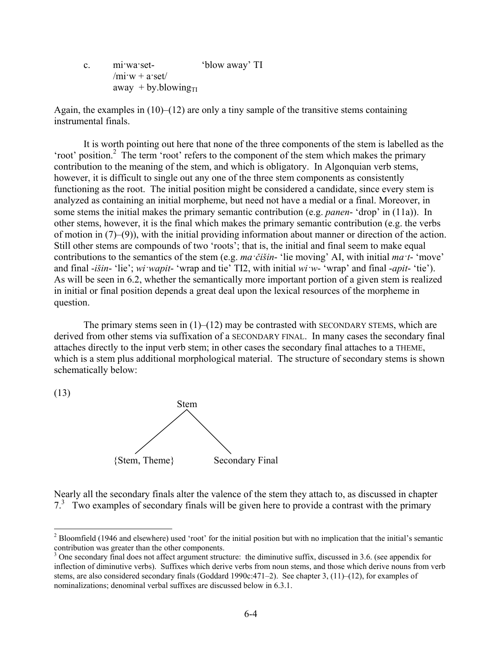c. mi·wa·set- 'blow away' TI  $/$ mi·w + a·set $/$ away + by.blowing $_{\text{TI}}$ 

Again, the examples in (10)–(12) are only a tiny sample of the transitive stems containing instrumental finals.

It is worth pointing out here that none of the three components of the stem is labelled as the 'root' position.<sup>2</sup> The term 'root' refers to the component of the stem which makes the primary contribution to the meaning of the stem, and which is obligatory. In Algonquian verb stems, however, it is difficult to single out any one of the three stem components as consistently functioning as the root. The initial position might be considered a candidate, since every stem is analyzed as containing an initial morpheme, but need not have a medial or a final. Moreover, in some stems the initial makes the primary semantic contribution (e.g. *panen*- 'drop' in (11a)). In other stems, however, it is the final which makes the primary semantic contribution (e.g. the verbs of motion in (7)–(9)), with the initial providing information about manner or direction of the action. Still other stems are compounds of two 'roots'; that is, the initial and final seem to make equal contributions to the semantics of the stem (e.g. *ma·čišin*- 'lie moving' AI, with initial *ma·t*- 'move' and final -*išin*- 'lie'; *wi·wapit*- 'wrap and tie' TI2, with initial *wi·w*- 'wrap' and final -*apit*- 'tie'). As will be seen in 6.2, whether the semantically more important portion of a given stem is realized in initial or final position depends a great deal upon the lexical resources of the morpheme in question.

The primary stems seen in  $(1)$ – $(12)$  may be contrasted with SECONDARY STEMS, which are derived from other stems via suffixation of a SECONDARY FINAL. In many cases the secondary final attaches directly to the input verb stem; in other cases the secondary final attaches to a THEME, which is a stem plus additional morphological material. The structure of secondary stems is shown schematically below:

(13)

1



Nearly all the secondary finals alter the valence of the stem they attach to, as discussed in chapter 7<sup>3</sup> Two examples of secondary finals will be given here to provide a contrast with the primary

 $2^2$  Bloomfield (1946 and elsewhere) used 'root' for the initial position but with no implication that the initial's semantic contribution was greater than the other components.

 $3$  One secondary final does not affect argument structure: the diminutive suffix, discussed in 3.6. (see appendix for inflection of diminutive verbs). Suffixes which derive verbs from noun stems, and those which derive nouns from verb stems, are also considered secondary finals (Goddard 1990c:471–2). See chapter 3, (11)–(12), for examples of nominalizations; denominal verbal suffixes are discussed below in 6.3.1.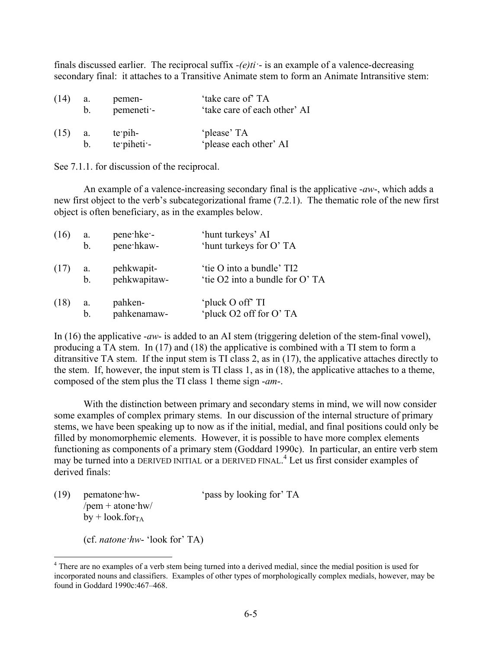finals discussed earlier. The reciprocal suffix *-(e)ti·*- is an example of a valence-decreasing secondary final: it attaches to a Transitive Animate stem to form an Animate Intransitive stem:

| (14) | a.          | pemen-        | 'take care of' TA            |
|------|-------------|---------------|------------------------------|
|      | $b_{\perp}$ | pemeneti -    | 'take care of each other' AI |
| (15) | a.          | te pih-       | 'please' TA                  |
|      | $b_{-}$     | $te$ piheti - | 'please each other' AI       |

See 7.1.1. for discussion of the reciprocal.

An example of a valence-increasing secondary final is the applicative -*aw*-, which adds a new first object to the verb's subcategorizational frame (7.2.1). The thematic role of the new first object is often beneficiary, as in the examples below.

| (16) | a.             | pene hke -   | 'hunt turkeys' AI              |
|------|----------------|--------------|--------------------------------|
|      | $\mathbf{b}$ . | pene hkaw-   | 'hunt turkeys for O' TA        |
| (17) | a.             | pehkwapit-   | 'tie O into a bundle' TI2      |
|      | b <sub>1</sub> | pehkwapitaw- | 'tie O2 into a bundle for O'TA |
| (18) | a.             | pahken-      | 'pluck O off' TI               |
|      | b.             | pahkenamaw-  | 'pluck O2 off for O' TA        |

In (16) the applicative -*aw*- is added to an AI stem (triggering deletion of the stem-final vowel), producing a TA stem. In (17) and (18) the applicative is combined with a TI stem to form a ditransitive TA stem. If the input stem is TI class 2, as in (17), the applicative attaches directly to the stem. If, however, the input stem is TI class 1, as in (18), the applicative attaches to a theme, composed of the stem plus the TI class 1 theme sign -*am*-.

With the distinction between primary and secondary stems in mind, we will now consider some examples of complex primary stems. In our discussion of the internal structure of primary stems, we have been speaking up to now as if the initial, medial, and final positions could only be filled by monomorphemic elements. However, it is possible to have more complex elements functioning as components of a primary stem (Goddard 1990c). In particular, an entire verb stem may be turned into a DERIVED INITIAL or a DERIVED FINAL. 4 Let us first consider examples of derived finals:

| (19) | pematone hw-                             | 'pass by looking for' TA |
|------|------------------------------------------|--------------------------|
|      | /pem + atone $h$ w/                      |                          |
|      | $by + look forTA$                        |                          |
|      |                                          |                          |
|      | (cf. <i>natone</i> $hw$ - 'look for' TA) |                          |

1

<sup>&</sup>lt;sup>4</sup> There are no examples of a verb stem being turned into a derived medial, since the medial position is used for incorporated nouns and classifiers. Examples of other types of morphologically complex medials, however, may be found in Goddard 1990c:467–468.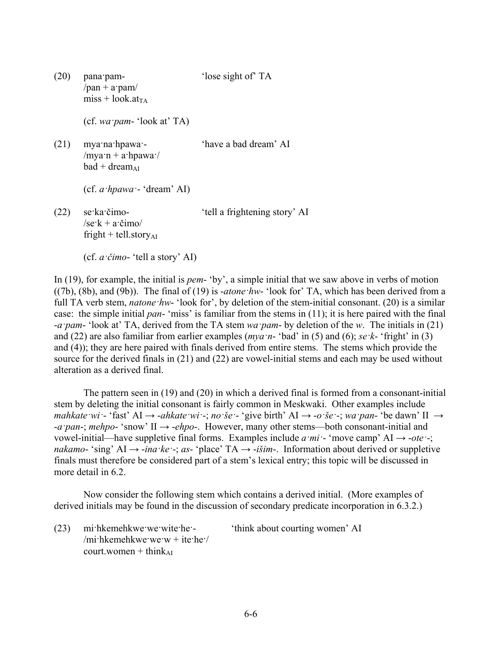(20) pana·pam- 'lose sight of' TA  $/$ pan + a·pam $/$  $miss + look.at<sub>TA</sub>$ 

(cf. *wa·pam*- 'look at' TA)

(21) mya·na·hpawa·- 'have a bad dream' AI /mya·n + a·hpawa·/  $bad + dream_{AI}$ 

(cf. *a·hpawa·*- 'dream' AI)

(22) se·ka·čimo- 'tell a frightening story' AI  $\sqrt{\text{se} \cdot \text{k} + \text{a} \cdot \text{c}}$ imo fright + tell.story $_{AI}$ 

In (19), for example, the initial is *pem*- 'by', a simple initial that we saw above in verbs of motion ((7b), (8b), and (9b)). The final of (19) is -*atone·hw*- 'look for' TA, which has been derived from a full TA verb stem, *natone ·hw*- 'look for', by deletion of the stem-initial consonant. (20) is a similar case: the simple initial *pan*- 'miss' is familiar from the stems in (11); it is here paired with the final -*a·pam*- 'look at' TA, derived from the TA stem *wa·pam*- by deletion of the *w*. The initials in (21) and (22) are also familiar from earlier examples (*mya·n*- 'bad' in (5) and (6); *se·k*- 'fright' in (3) and (4)); they are here paired with finals derived from entire stems. The stems which provide the source for the derived finals in (21) and (22) are vowel-initial stems and each may be used without alteration as a derived final.

The pattern seen in (19) and (20) in which a derived final is formed from a consonant-initial stem by deleting the initial consonant is fairly common in Meskwaki. Other examples include mahkate wi - 'fast' AI  $\rightarrow$  -ahkate wi -; no še - 'give birth' AI  $\rightarrow$  -o še -; wa pan- 'be dawn' II  $\rightarrow$ -*a·pan*-; *mehpo*- 'snow' II → -*ehpo*-. However, many other stems—both consonant-initial and vowel-initial—have suppletive final forms. Examples include  $a$ *·mi* · 'move camp' AI  $\rightarrow$  -*ote* · ; *nakamo-* 'sing' AI  $\rightarrow$  *-ina ·ke* · *; as*- 'place' TA  $\rightarrow$  *-išim*-. Information about derived or suppletive finals must therefore be considered part of a stem's lexical entry; this topic will be discussed in more detail in 6.2.

Now consider the following stem which contains a derived initial. (More examples of derived initials may be found in the discussion of secondary predicate incorporation in 6.3.2.)

(23) mi·hkemehkwe·we·wite·he·- 'think about courting women' AI  $/$ mi·hkemehkwe·we·w + ite·he· $/$  $court. women + think<sub>AI</sub>$ 

 <sup>(</sup>cf. *a·čimo*- 'tell a story' AI)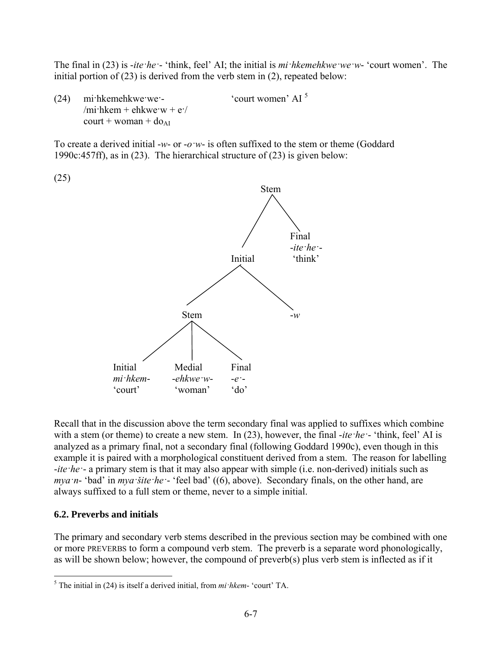The final in (23) is -*ite·he·*- 'think, feel' AI; the initial is *mi·hkemehkwe·we·w*- 'court women'. The initial portion of (23) is derived from the verb stem in (2), repeated below:

(24) mi·hkemehkwe·we·- 'court women' AI <sup>5</sup> /mi·hkem + ehkwe·w +  $e$ ·/  $court + woman + do<sub>AI</sub>$ 

To create a derived initial -*w*- or -*o·w*- is often suffixed to the stem or theme (Goddard 1990c:457ff), as in (23). The hierarchical structure of (23) is given below:



Recall that in the discussion above the term secondary final was applied to suffixes which combine with a stem (or theme) to create a new stem. In (23), however, the final *-ite · he* · · 'think, feel' AI is analyzed as a primary final, not a secondary final (following Goddard 1990c), even though in this example it is paired with a morphological constituent derived from a stem. The reason for labelling -*ite·he·*- a primary stem is that it may also appear with simple (i.e. non-derived) initials such as *mya·n*- 'bad' in *mya·šite·he·*- 'feel bad' ((6), above). Secondary finals, on the other hand, are always suffixed to a full stem or theme, never to a simple initial.

## **6.2. Preverbs and initials**

<u>.</u>

The primary and secondary verb stems described in the previous section may be combined with one or more PREVERBS to form a compound verb stem. The preverb is a separate word phonologically, as will be shown below; however, the compound of preverb(s) plus verb stem is inflected as if it

<sup>5</sup> The initial in (24) is itself a derived initial, from *mi·hkem*- 'court' TA.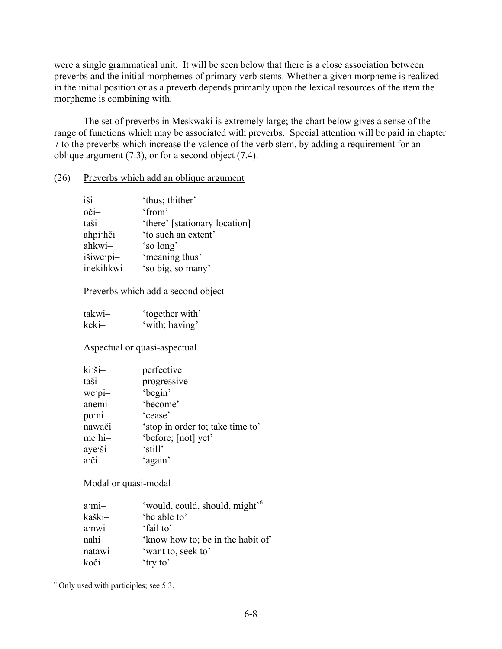were a single grammatical unit. It will be seen below that there is a close association between preverbs and the initial morphemes of primary verb stems. Whether a given morpheme is realized in the initial position or as a preverb depends primarily upon the lexical resources of the item the morpheme is combining with.

The set of preverbs in Meskwaki is extremely large; the chart below gives a sense of the range of functions which may be associated with preverbs. Special attention will be paid in chapter 7 to the preverbs which increase the valence of the verb stem, by adding a requirement for an oblique argument (7.3), or for a second object (7.4).

#### (26) Preverbs which add an oblique argument

| $i\check{s}i-$ | 'thus; thither'               |
|----------------|-------------------------------|
| oči-           | 'from'                        |
| taši-          | 'there' [stationary location] |
| ahpi hči-      | 'to such an extent'           |
| ahkwi-         | 'so long'                     |
| išiwe pi-      | 'meaning thus'                |
| inekihkwi-     | 'so big, so many'             |

#### Preverbs which add a second object

| takwi- | 'together with' |
|--------|-----------------|
| keki–  | 'with; having'  |

#### Aspectual or quasi-aspectual

| $ki\ddot{s}i-$                 | perfective                       |
|--------------------------------|----------------------------------|
| taši-                          | progressive                      |
| we pi-                         | 'begin'                          |
| anemi-                         | 'become'                         |
| po·ni-                         | 'cease'                          |
| nawači-                        | 'stop in order to; take time to' |
| me·hi-                         | 'before; [not] yet'              |
| aye ši-                        | 'still'                          |
| $a^{\dagger}$ $\check{c}$ $i-$ | 'again'                          |

#### Modal or quasi-modal

| $a$ mi- | 'would, could, should, might' <sup>6</sup> |
|---------|--------------------------------------------|
| kaški-  | 'be able to'                               |
| a'nwi-  | 'fail to'                                  |
| $nahi-$ | 'know how to; be in the habit of           |
| natawi- | 'want to, seek to'                         |
| koči-   | 'try to'                                   |

<sup>6</sup> Only used with participles; see 5.3.

<u>.</u>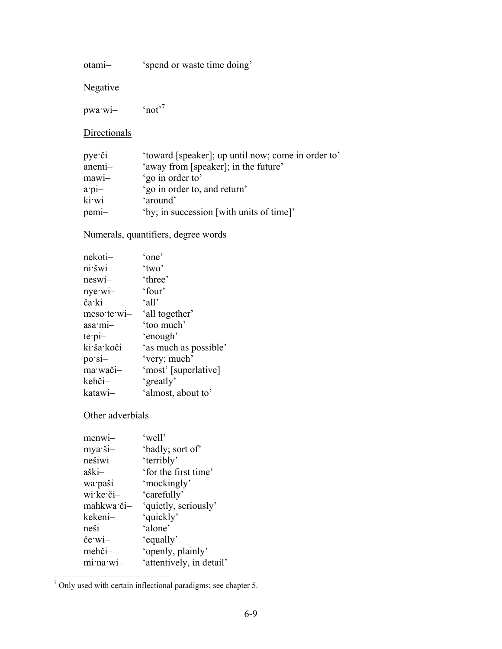otami– 'spend or waste time doing'

Negative

pwa·wi– 'not'7

**Directionals** 

| $pye \cdot \check{c}i-$ | 'toward [speaker]; up until now; come in order to' |
|-------------------------|----------------------------------------------------|
| anemi-                  | 'away from [speaker]; in the future'               |
| $mawi-$                 | 'go in order to'                                   |
| $a$ . pi-               | 'go in order to, and return'                       |
| ki wi-                  | 'around'                                           |
| pemi-                   | 'by; in succession [with units of time]'           |

# Numerals, quantifiers, degree words

| nekoti-         | 'one'                 |
|-----------------|-----------------------|
| ni šwi-         | 'two'                 |
| neswi-          | 'three'               |
| $nye(wi-)$      | 'four'                |
| ča·ki-          | $^{\circ}$ all'       |
| meso te wi-     | 'all together'        |
| asa mi-         | 'too much'            |
| $te$ pi-        | 'enough'              |
| ki ša koči-     | 'as much as possible' |
| $po\text{-}si-$ | 'very; much'          |
| ma·wači-        | 'most' [superlative]  |
| kehči-          | 'greatly'             |
| katawi–         | 'almost, about to'    |

# Other adverbials

| $menw1-$     | 'well'                   |
|--------------|--------------------------|
| mya·ši-      | 'badly; sort of'         |
| nešiwi-      | 'terribly'               |
| aški-        | 'for the first time'     |
| wa paši-     | 'mockingly'              |
| $w$ i ke či- | 'carefully'              |
| mahkwa·či-   | 'quietly, seriously'     |
| kekeni-      | 'quickly'                |
| neši-        | 'alone'                  |
| če wi-       | 'equally'                |
| mehči-       | 'openly, plainly'        |
| mi na wi     | 'attentively, in detail' |
|              |                          |

The Tombers of the certain inflectional paradigms; see chapter 5.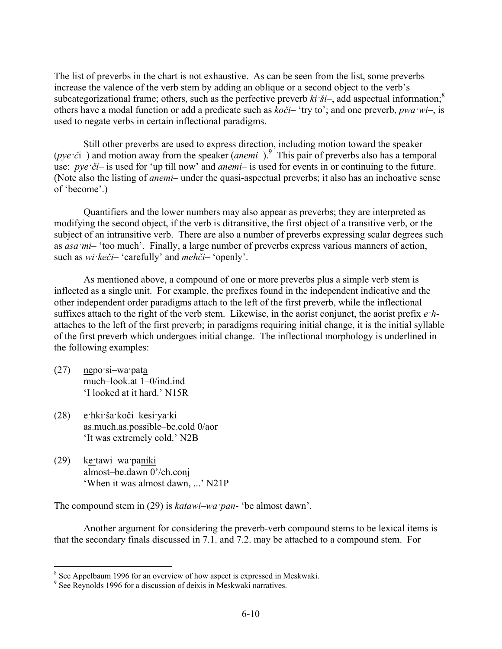The list of preverbs in the chart is not exhaustive. As can be seen from the list, some preverbs increase the valence of the verb stem by adding an oblique or a second object to the verb's subcategorizational frame; others, such as the perfective preverb  $ki \cdot \delta i$ –, add aspectual information;<sup>8</sup> others have a modal function or add a predicate such as *koči*– 'try to'; and one preverb, *pwa·wi*–, is used to negate verbs in certain inflectional paradigms.

Still other preverbs are used to express direction, including motion toward the speaker (*pye* ·*č*i–) and motion away from the speaker (*anemi*–).<sup>9</sup> This pair of preverbs also has a temporal use: *pye*  $\check{c}i$ – is used for 'up till now' and *anemi*– is used for events in or continuing to the future. (Note also the listing of *anemi*– under the quasi-aspectual preverbs; it also has an inchoative sense of 'become'.)

Quantifiers and the lower numbers may also appear as preverbs; they are interpreted as modifying the second object, if the verb is ditransitive, the first object of a transitive verb, or the subject of an intransitive verb. There are also a number of preverbs expressing scalar degrees such as *asa·mi*– 'too much'. Finally, a large number of preverbs express various manners of action, such as *wi·keči*– 'carefully' and *mehči*– 'openly'.

As mentioned above, a compound of one or more preverbs plus a simple verb stem is inflected as a single unit. For example, the prefixes found in the independent indicative and the other independent order paradigms attach to the left of the first preverb, while the inflectional suffixes attach to the right of the verb stem. Likewise, in the aorist conjunct, the aorist prefix *e·h*attaches to the left of the first preverb; in paradigms requiring initial change, it is the initial syllable of the first preverb which undergoes initial change. The inflectional morphology is underlined in the following examples:

(27) nepo·si–wa·pata much–look.at 1–0/ind.ind 'I looked at it hard.' N15R

1

- (28) e·hki·ša·koči–kesi·ya·ki as.much.as.possible–be.cold 0/aor 'It was extremely cold.' N2B
- (29) ke·tawi–wa·paniki almost–be.dawn 0'/ch.conj 'When it was almost dawn, ...' N21P

The compound stem in (29) is *katawi–wa·pan*- 'be almost dawn'.

Another argument for considering the preverb-verb compound stems to be lexical items is that the secondary finals discussed in 7.1. and 7.2. may be attached to a compound stem. For

<sup>&</sup>lt;sup>8</sup> See Appelbaum 1996 for an overview of how aspect is expressed in Meskwaki.

<sup>&</sup>lt;sup>9</sup> See Reynolds 1996 for a discussion of deixis in Meskwaki narratives.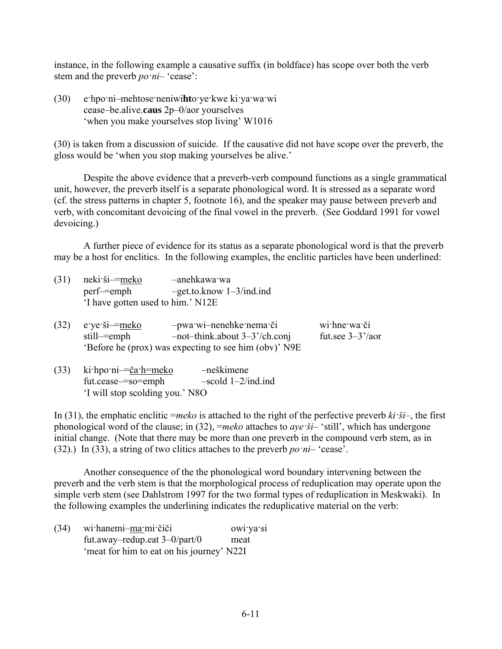instance, in the following example a causative suffix (in boldface) has scope over both the verb stem and the preverb *po·ni*– 'cease':

(30) e·hpo·ni–mehtose·neniwi**ht**o·ye·kwe ki·ya·wa·wi cease–be.alive.**caus** 2p–0/aor yourselves 'when you make yourselves stop living' W1016

(30) is taken from a discussion of suicide. If the causative did not have scope over the preverb, the gloss would be 'when you stop making yourselves be alive.'

Despite the above evidence that a preverb-verb compound functions as a single grammatical unit, however, the preverb itself is a separate phonological word. It is stressed as a separate word (cf. the stress patterns in chapter 5, footnote 16), and the speaker may pause between preverb and verb, with concomitant devoicing of the final vowel in the preverb. (See Goddard 1991 for vowel devoicing.)

A further piece of evidence for its status as a separate phonological word is that the preverb may be a host for enclitics. In the following examples, the enclitic particles have been underlined:

- (31) neki·ši–=meko –anehkawa·wa perf–=emph –get.to.know 1–3/ind.ind 'I have gotten used to him.' N12E
- (32) e·ye·ši–=meko –pwa·wi–nenehke·nema·či wi·hne·wa·či still–=emph –not–think.about 3–3'/ch.conj fut.see 3–3'/aor 'Before he (prox) was expecting to see him (obv)' N9E
- (33) ki·hpo·ni–=ča·h=meko –neškimene fut.cease–=so=emph –scold 1–2/ind.ind 'I will stop scolding you.' N8O

In (31), the emphatic enclitic =*meko* is attached to the right of the perfective preverb *ki·ši*–, the first phonological word of the clause; in (32), =*meko* attaches to *aye·ši*– 'still', which has undergone initial change. (Note that there may be more than one preverb in the compound verb stem, as in (32).) In (33), a string of two clitics attaches to the preverb *po·ni*– 'cease'.

Another consequence of the the phonological word boundary intervening between the preverb and the verb stem is that the morphological process of reduplication may operate upon the simple verb stem (see Dahlstrom 1997 for the two formal types of reduplication in Meskwaki). In the following examples the underlining indicates the reduplicative material on the verb:

(34) wi·hanemi–ma·mi·čiči owi·ya·si fut.away–redup.eat 3–0/part/0 meat 'meat for him to eat on his journey' N22I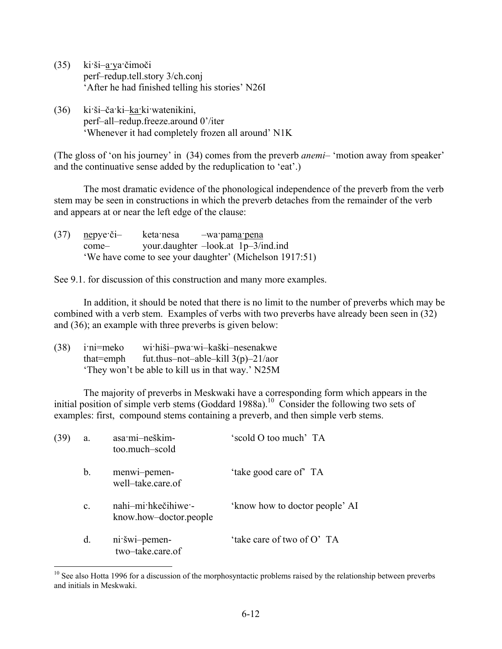- (35) ki·ši–a·ya·čimoči perf–redup.tell.story 3/ch.conj 'After he had finished telling his stories' N26I
- (36) ki·ši–ča·ki–ka·ki·watenikini, perf–all–redup.freeze.around 0'/iter 'Whenever it had completely frozen all around' N1K

(The gloss of 'on his journey' in (34) comes from the preverb *anemi*– 'motion away from speaker' and the continuative sense added by the reduplication to 'eat'.)

The most dramatic evidence of the phonological independence of the preverb from the verb stem may be seen in constructions in which the preverb detaches from the remainder of the verb and appears at or near the left edge of the clause:

(37) nepye·či– keta·nesa –wa·pama·pena come– your.daughter –look.at 1p–3/ind.ind 'We have come to see your daughter' (Michelson 1917:51)

See 9.1. for discussion of this construction and many more examples.

In addition, it should be noted that there is no limit to the number of preverbs which may be combined with a verb stem. Examples of verbs with two preverbs have already been seen in (32) and (36); an example with three preverbs is given below:

| (38) | i:ni=meko | wi hiši-pwa wi-kaški-nesenakwe                    |
|------|-----------|---------------------------------------------------|
|      | that=emph | fut.thus-not-able-kill $3(p)$ -21/aor             |
|      |           | 'They won't be able to kill us in that way.' N25M |

The majority of preverbs in Meskwaki have a corresponding form which appears in the initial position of simple verb stems (Goddard 1988a).<sup>10</sup> Consider the following two sets of examples: first, compound stems containing a preverb, and then simple verb stems.

| (39) | a.             | asa·mi-neškim-<br>too.much-scold              | 'scold O too much' TA          |
|------|----------------|-----------------------------------------------|--------------------------------|
|      | b.             | menwi-pemen-<br>well-take.care.of             | 'take good care of TA          |
|      | $\mathbf{c}$ . | nahi-mi hkečihiwe -<br>know.how-doctor.people | 'know how to doctor people' AI |
|      | d.             | ni šwi-pemen-<br>two-take.care.of             | 'take care of two of O' TA     |
|      |                |                                               |                                |

 $10$  See also Hotta 1996 for a discussion of the morphosyntactic problems raised by the relationship between preverbs and initials in Meskwaki.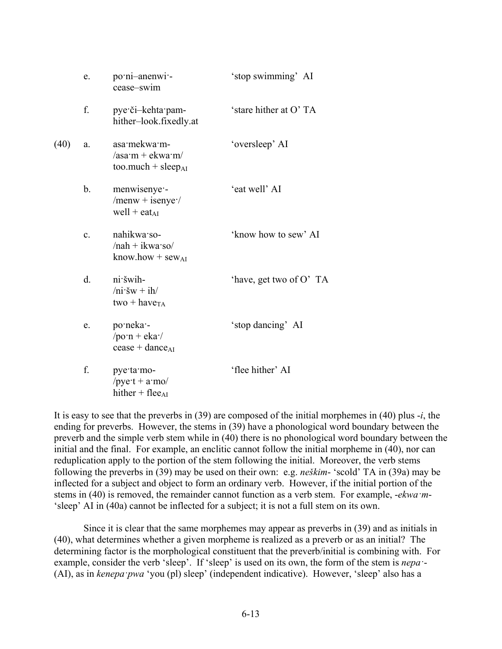|      | e.             | po·ni-anenwi·-<br>cease-swim                                                 | 'stop swimming' AI      |
|------|----------------|------------------------------------------------------------------------------|-------------------------|
|      | f.             | pye či-kehta pam-<br>hither-look.fixedly.at                                  | 'stare hither at O'TA   |
| (40) | a.             | asa·mekwa·m-<br>$\alpha$ sa·m + ekwa·m/<br>$too$ .much + sleep <sub>AI</sub> | 'oversleep' AI          |
|      | b.             | menwisenye -<br>/menw + isenye $\cdot$ /<br>well + eat <sub>AI</sub>         | 'eat well' AI           |
|      | $\mathbf{c}$ . | nahikwa so-<br>$/nah + ikwa$ so<br>know.how + sew <sub>AI</sub>              | 'know how to sew' AI    |
|      | d.             | ni šwih-<br>$/ni \cdot \check{s}w + ih/$<br>two + have <sub>TA</sub>         | 'have, get two of O' TA |
|      | e.             | po·neka·<br>/po·n + eka $\cdot$ /<br>$cease + dance_{AI}$                    | 'stop dancing' AI       |
|      | f.             | pye·ta·mo-<br>/pye·t + $a$ ·mo/<br>hither + flee <sub>AI</sub>               | 'flee hither' AI        |

It is easy to see that the preverbs in (39) are composed of the initial morphemes in (40) plus -*i*, the ending for preverbs. However, the stems in (39) have a phonological word boundary between the preverb and the simple verb stem while in (40) there is no phonological word boundary between the initial and the final. For example, an enclitic cannot follow the initial morpheme in (40), nor can reduplication apply to the portion of the stem following the initial. Moreover, the verb stems following the preverbs in (39) may be used on their own: e.g. *neškim*- 'scold' TA in (39a) may be inflected for a subject and object to form an ordinary verb. However, if the initial portion of the stems in (40) is removed, the remainder cannot function as a verb stem. For example, -*ekwa·m*- 'sleep' AI in (40a) cannot be inflected for a subject; it is not a full stem on its own.

Since it is clear that the same morphemes may appear as preverbs in (39) and as initials in (40), what determines whether a given morpheme is realized as a preverb or as an initial? The determining factor is the morphological constituent that the preverb/initial is combining with. For example, consider the verb 'sleep'. If 'sleep' is used on its own, the form of the stem is *nepa·*- (AI), as in *kenepa·pwa* 'you (pl) sleep' (independent indicative). However, 'sleep' also has a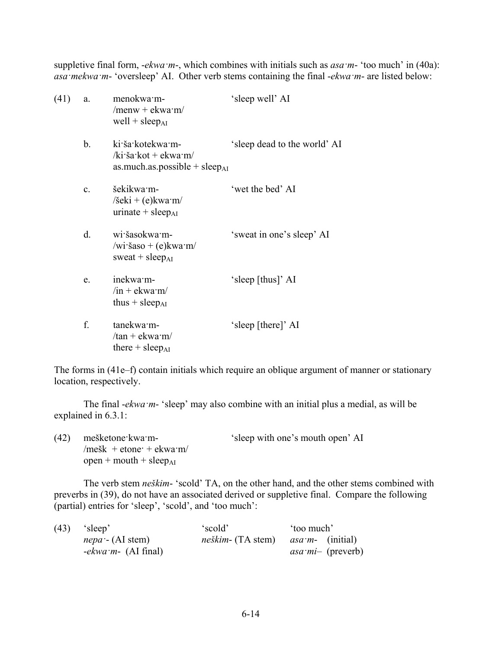suppletive final form, -*ekwa·m*-, which combines with initials such as *asa·m*- 'too much' in (40a): *asa·mekwa·m*- 'oversleep' AI. Other verb stems containing the final -*ekwa·m*- are listed below:

| (41) | a.             | menokwa m-<br>/menw + ekwa $\cdot$ m/<br>well + sleep $_{AI}$                         | 'sleep well' AI              |
|------|----------------|---------------------------------------------------------------------------------------|------------------------------|
|      | $b_{\cdot}$    | ki ša kotekwa m-<br>/ki·ša·kot + ekwa·m/<br>as.much.as.possible + sleep <sub>AI</sub> | 'sleep dead to the world' AI |
|      | $\mathbf{c}$ . | šekikwa m-<br>$\delta$ eki + (e)kwa·m/<br>urinate + sleep $_{AI}$                     | 'wet the bed' AI             |
|      | d.             | wi šasokwa m-<br>/wi·šaso + (e) $kwa·m/$<br>sweat + $sleep_{AI}$                      | 'sweat in one's sleep' AI    |
|      | e.             | inekwa·m-<br>$\sin +$ ekwa $\sin$<br>thus $+$ sleep <sub>AI</sub>                     | 'sleep [thus]' AI            |
|      | f.             | tanekwa m-<br>$/\tan +$ ekwa·m/<br>there $+$ sleep <sub>AI</sub>                      | 'sleep [there]' AI           |
|      |                |                                                                                       |                              |

The forms in (41e–f) contain initials which require an oblique argument of manner or stationary location, respectively.

The final -*ekwa·m*- 'sleep' may also combine with an initial plus a medial, as will be explained in 6.3.1:

(42) mešketone·kwa·m- 'sleep with one's mouth open' AI  $/m$ ešk + etone $+$  ekwa $m/$  $open + mouth + sleep<sub>AI</sub>$ 

The verb stem *neškim*- 'scold' TA, on the other hand, and the other stems combined with preverbs in (39), do not have an associated derived or suppletive final. Compare the following (partial) entries for 'sleep', 'scold', and 'too much':

| (43) | 'sleep'                    | 'scold'                                            | too much'           |  |
|------|----------------------------|----------------------------------------------------|---------------------|--|
|      | <i>nepa</i> $-$ (AI stem)  | <i>neškim</i> - (TA stem) <i>asa m</i> - (initial) |                     |  |
|      | <i>-ekwa m-</i> (AI final) |                                                    | $as a mi$ (preverb) |  |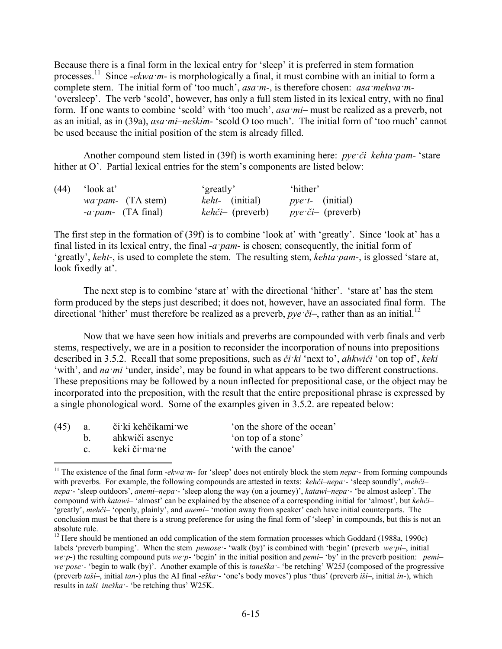Because there is a final form in the lexical entry for 'sleep' it is preferred in stem formation processes.11 Since -*ekwa·m*- is morphologically a final, it must combine with an initial to form a complete stem. The initial form of 'too much', *asa·m*-, is therefore chosen: *asa·mekwa·m*- 'oversleep'. The verb 'scold', however, has only a full stem listed in its lexical entry, with no final form. If one wants to combine 'scold' with 'too much', *asa·mi*– must be realized as a preverb, not as an initial, as in (39a), *asa·mi*–*neškim*- 'scold O too much'. The initial form of 'too much' cannot be used because the initial position of the stem is already filled.

Another compound stem listed in (39f) is worth examining here: *pye·či*–*kehta·pam*- 'stare hither at O'. Partial lexical entries for the stem's components are listed below:

| (44) | 'look at'                    | 'greatly'                  | 'hither'                   |
|------|------------------------------|----------------------------|----------------------------|
|      | <i>wa pam</i> - $(TA stem)$  | <i>keht-</i> (initial)     | <i>pye</i> $t$ - (initial) |
|      | $-a$ <i>pam</i> - (TA final) | $keh\check{c}i-$ (preverb) | <i>pye či</i> – (preverb)  |

The first step in the formation of (39f) is to combine 'look at' with 'greatly'. Since 'look at' has a final listed in its lexical entry, the final -*a·pam*- is chosen; consequently, the initial form of 'greatly', *keht*-, is used to complete the stem. The resulting stem, *kehta·pam*-, is glossed 'stare at, look fixedly at'.

The next step is to combine 'stare at' with the directional 'hither'. 'stare at' has the stem form produced by the steps just described; it does not, however, have an associated final form. The directional 'hither' must therefore be realized as a preverb, *pye* ·*či*–, rather than as an initial.<sup>12</sup>

Now that we have seen how initials and preverbs are compounded with verb finals and verb stems, respectively, we are in a position to reconsider the incorporation of nouns into prepositions described in 3.5.2. Recall that some prepositions, such as *či·ki* 'next to', *ahkwiči* 'on top of', *keki* 'with', and *na·mi* 'under, inside', may be found in what appears to be two different constructions. These prepositions may be followed by a noun inflected for prepositional case, or the object may be incorporated into the preposition, with the result that the entire prepositional phrase is expressed by a single phonological word. Some of the examples given in 3.5.2. are repeated below:

| (45) | a.           | či ki kehčikami we | 'on the shore of the ocean' |
|------|--------------|--------------------|-----------------------------|
|      |              | ahkwiči asenye     | 'on top of a stone'         |
|      | $\mathbf{c}$ | keki či ma ne      | 'with the canoe'            |

1

<sup>&</sup>lt;sup>11</sup> The existence of the final form -*ekwa*  $\dot{m}$ - for 'sleep' does not entirely block the stem  $nepa$  - from forming compounds with preverbs. For example, the following compounds are attested in texts: *kehči–nepa·*- 'sleep soundly', *mehči– nepa·*- 'sleep outdoors', *anemi–nepa·*- 'sleep along the way (on a journey)', *katawi–nepa·*- 'be almost asleep'. The compound with *katawi*– 'almost' can be explained by the absence of a corresponding initial for 'almost', but *kehči*– 'greatly', *mehči*– 'openly, plainly', and *anemi*– 'motion away from speaker' each have initial counterparts. The conclusion must be that there is a strong preference for using the final form of 'sleep' in compounds, but this is not an absolute rule.

<sup>&</sup>lt;sup>12</sup> Here should be mentioned an odd complication of the stem formation processes which Goddard (1988a, 1990c) labels 'preverb bumping'. When the stem *pemose·*- 'walk (by)' is combined with 'begin' (preverb *we·pi*–, initial *we*  $p$ -) the resulting compound puts *we*  $p$ - 'begin' in the initial position and *pemi*– 'by' in the preverb position: *pemi*– *we pose* - 'begin to walk (by)'. Another example of this is *taneška* - 'be retching' W25J (composed of the progressive (preverb *taši*–, initial *tan*-) plus the AI final -*eška·*- 'one's body moves') plus 'thus' (preverb *iši*–, initial *in-*), which results in *taši–ineška·*- 'be retching thus' W25K.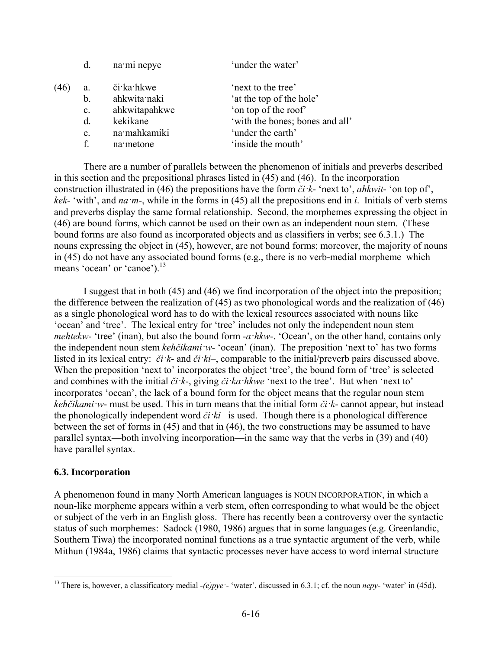|      | d.             | na mi nepye   | 'under the water'               |
|------|----------------|---------------|---------------------------------|
| (46) | a.             | či ka hkwe    | 'next to the tree'              |
|      | b.             | ahkwita naki  | 'at the top of the hole'        |
|      | $\mathbf{c}$ . | ahkwitapahkwe | 'on top of the roof'            |
|      | $d_{\cdot}$    | kekikane      | 'with the bones; bones and all' |
|      | e.             | na mahkamiki  | 'under the earth'               |
|      | $\mathbf{f}$   | na metone     | 'inside the mouth'              |
|      |                |               |                                 |

There are a number of parallels between the phenomenon of initials and preverbs described in this section and the prepositional phrases listed in (45) and (46). In the incorporation construction illustrated in (46) the prepositions have the form *či·k*- 'next to', *ahkwit*- 'on top of', *kek*- 'with', and *na·m*-, while in the forms in (45) all the prepositions end in *i*. Initials of verb stems and preverbs display the same formal relationship. Second, the morphemes expressing the object in (46) are bound forms, which cannot be used on their own as an independent noun stem. (These bound forms are also found as incorporated objects and as classifiers in verbs; see 6.3.1.) The nouns expressing the object in (45), however, are not bound forms; moreover, the majority of nouns in (45) do not have any associated bound forms (e.g., there is no verb-medial morpheme which means 'ocean' or 'canoe').<sup>13</sup>

I suggest that in both (45) and (46) we find incorporation of the object into the preposition; the difference between the realization of (45) as two phonological words and the realization of (46) as a single phonological word has to do with the lexical resources associated with nouns like 'ocean' and 'tree'. The lexical entry for 'tree' includes not only the independent noun stem *mehtekw*- 'tree' (inan), but also the bound form -*a·hkw*-. 'Ocean', on the other hand, contains only the independent noun stem *kehčikami·w*- 'ocean' (inan). The preposition 'next to' has two forms listed in its lexical entry: *či·k*- and *či·ki*–, comparable to the initial/preverb pairs discussed above. When the preposition 'next to' incorporates the object 'tree', the bound form of 'tree' is selected and combines with the initial *či·k*-, giving *či·ka·hkwe* 'next to the tree'. But when 'next to' incorporates 'ocean', the lack of a bound form for the object means that the regular noun stem *kehčikami·w*- must be used. This in turn means that the initial form *či·k*- cannot appear, but instead the phonologically independent word *či·ki*– is used. Though there is a phonological difference between the set of forms in (45) and that in (46), the two constructions may be assumed to have parallel syntax—both involving incorporation—in the same way that the verbs in (39) and (40) have parallel syntax.

#### **6.3. Incorporation**

<u>.</u>

A phenomenon found in many North American languages is NOUN INCORPORATION, in which a noun-like morpheme appears within a verb stem, often corresponding to what would be the object or subject of the verb in an English gloss. There has recently been a controversy over the syntactic status of such morphemes: Sadock (1980, 1986) argues that in some languages (e.g. Greenlandic, Southern Tiwa) the incorporated nominal functions as a true syntactic argument of the verb, while Mithun (1984a, 1986) claims that syntactic processes never have access to word internal structure

<sup>&</sup>lt;sup>13</sup> There is, however, a classificatory medial *-(e)pye*<sup> $\cdot$ </sup> 'water', discussed in 6.3.1; cf. the noun *nepy*- 'water' in (45d).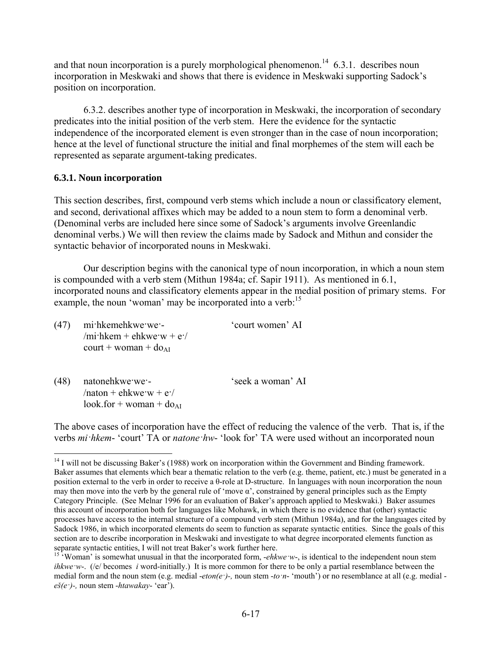and that noun incorporation is a purely morphological phenomenon.<sup>14</sup> 6.3.1. describes noun incorporation in Meskwaki and shows that there is evidence in Meskwaki supporting Sadock's position on incorporation.

6.3.2. describes another type of incorporation in Meskwaki, the incorporation of secondary predicates into the initial position of the verb stem. Here the evidence for the syntactic independence of the incorporated element is even stronger than in the case of noun incorporation; hence at the level of functional structure the initial and final morphemes of the stem will each be represented as separate argument-taking predicates.

## **6.3.1. Noun incorporation**

This section describes, first, compound verb stems which include a noun or classificatory element, and second, derivational affixes which may be added to a noun stem to form a denominal verb. (Denominal verbs are included here since some of Sadock's arguments involve Greenlandic denominal verbs.) We will then review the claims made by Sadock and Mithun and consider the syntactic behavior of incorporated nouns in Meskwaki.

Our description begins with the canonical type of noun incorporation, in which a noun stem is compounded with a verb stem (Mithun 1984a; cf. Sapir 1911). As mentioned in 6.1, incorporated nouns and classificatory elements appear in the medial position of primary stems. For example, the noun 'woman' may be incorporated into a verb:<sup>15</sup>

| (47) | mi hkemehkwe we -<br>/mi·hkem + ehkwe·w + e·/<br>$\text{court} + \text{woman} + \text{do}_{\text{AI}}$ | 'court women' AI  |
|------|--------------------------------------------------------------------------------------------------------|-------------------|
| (48) | natonehkwe we -                                                                                        | 'seek a woman' AI |

 $/$ naton + ehkwe·w + e· $/$  $look.$  for  $+$  woman  $+$  do<sub>AI</sub>

1

The above cases of incorporation have the effect of reducing the valence of the verb. That is, if the verbs *mi·hkem*- 'court' TA or *natone·hw*- 'look for' TA were used without an incorporated noun

 $14$  I will not be discussing Baker's (1988) work on incorporation within the Government and Binding framework. Baker assumes that elements which bear a thematic relation to the verb (e.g. theme, patient, etc.) must be generated in a position external to the verb in order to receive a θ-role at D-structure. In languages with noun incorporation the noun may then move into the verb by the general rule of 'move  $\alpha$ ', constrained by general principles such as the Empty Category Principle. (See Melnar 1996 for an evaluation of Baker's approach applied to Meskwaki.) Baker assumes this account of incorporation both for languages like Mohawk, in which there is no evidence that (other) syntactic processes have access to the internal structure of a compound verb stem (Mithun 1984a), and for the languages cited by Sadock 1986, in which incorporated elements do seem to function as separate syntactic entities. Since the goals of this section are to describe incorporation in Meskwaki and investigate to what degree incorporated elements function as separate syntactic entities, I will not treat Baker's work further here.<br><sup>15</sup> 'Woman' is somewhat unusual in that the incorporated form, *-ehkwe ·w*-, is identical to the independent noun stem

*ihkwe w*-. (/e/ becomes *i* word-initially.) It is more common for there to be only a partial resemblance between the medial form and the noun stem (e.g. medial -*eton(e·)-,* noun stem -*to·n*- 'mouth') or no resemblance at all (e.g. medial *eš(e·)-,* noun stem -*htawakay*- 'ear').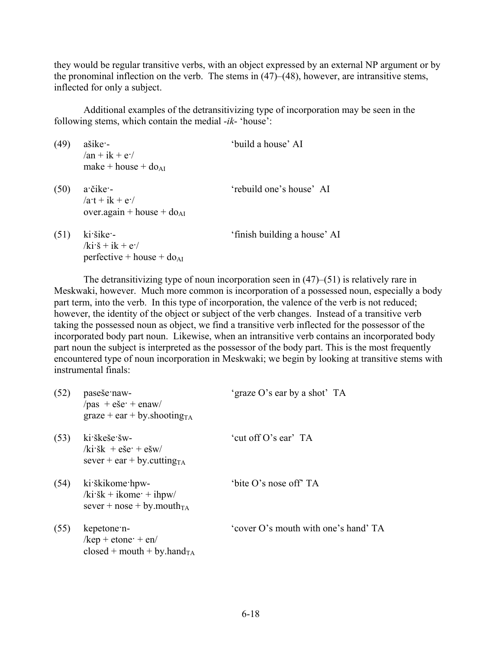they would be regular transitive verbs, with an object expressed by an external NP argument or by the pronominal inflection on the verb. The stems in (47)–(48), however, are intransitive stems, inflected for only a subject.

Additional examples of the detransitivizing type of incorporation may be seen in the following stems, which contain the medial -*ik*- 'house':

| (49) | $a\check{s}$ ike –<br>$an + ik + e^{-}$<br>make + house + $do_{AI}$      | 'build a house' AI           |
|------|--------------------------------------------------------------------------|------------------------------|
| (50) | $a\ddot{c}$ ike -<br>$/ax + ik + e^2/$<br>over.again + house + $do_{AI}$ | 'rebuild one's house' AI     |
| (51) | ki šike -<br>$k\vec{i}\cdot\vec{s} + i\vec{k} + \vec{e}$                 | 'finish building a house' AI |

perfective + house +  $do_{AI}$ 

The detransitivizing type of noun incorporation seen in (47)–(51) is relatively rare in Meskwaki, however. Much more common is incorporation of a possessed noun, especially a body part term, into the verb. In this type of incorporation, the valence of the verb is not reduced; however, the identity of the object or subject of the verb changes. Instead of a transitive verb taking the possessed noun as object, we find a transitive verb inflected for the possessor of the incorporated body part noun. Likewise, when an intransitive verb contains an incorporated body part noun the subject is interpreted as the possessor of the body part. This is the most frequently encountered type of noun incorporation in Meskwaki; we begin by looking at transitive stems with instrumental finals:

| (52) | paseše naw-<br>$\gamma$ pas + eše + enaw<br>$graze + ear + by. shootingTA$                                          | 'graze O's ear by a shot' TA         |
|------|---------------------------------------------------------------------------------------------------------------------|--------------------------------------|
| (53) | ki škeše šw-<br>$k$ i šk + eše + ešw<br>sever + ear + by cutting $_{TA}$                                            | 'cut off O's ear' TA                 |
| (54) | ki škikome hpw-<br>$k_i$ is $k + i$ kome $\cdot + i$ hpw/<br>sever + nose + by mouth $_{TA}$                        | 'bite O's nose off' TA               |
| (55) | kepetone n-<br>$\frac{\text{kep} + \text{etone} + \text{en}}{\text{MeV}}$<br>closed + mouth + by hand <sub>TA</sub> | 'cover O's mouth with one's hand' TA |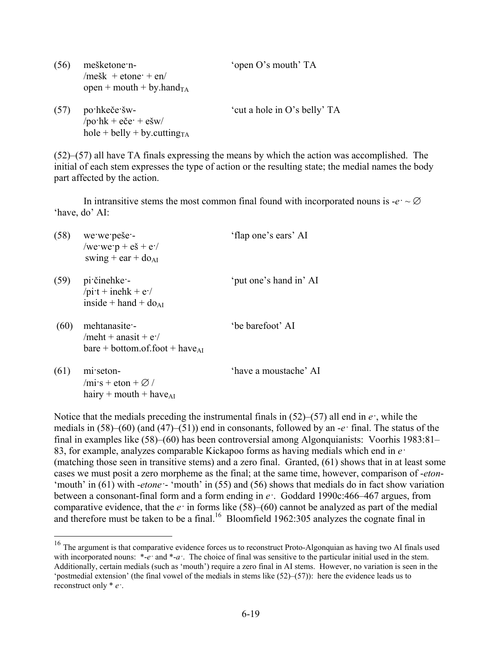| (56) | mešketone n-<br>/mešk + etone + en/<br>open + mouth + by.hand <sub>TA</sub>   | 'open O's mouth' TA          |
|------|-------------------------------------------------------------------------------|------------------------------|
| (57) | po hkeče šw-<br>$\gamma$ po·hk + eče· + ešw/<br>$hole + belly + by.cuttingTA$ | 'cut a hole in O's belly' TA |

(52)–(57) all have TA finals expressing the means by which the action was accomplished. The initial of each stem expresses the type of action or the resulting state; the medial names the body part affected by the action.

In intransitive stems the most common final found with incorporated nouns is  $-e^z \sim \emptyset$ 'have, do' AI:

| (58) | we we pese-<br>/we we $p + e \check{s} + e$ .<br>swing + ear + $do_{AI}$                 | 'flap one's ears' AI   |
|------|------------------------------------------------------------------------------------------|------------------------|
| (59) | pi činehke -<br>/pi·t + inehk + $e$ ·/<br>inside + hand + $do_{AI}$                      | 'put one's hand in' AI |
| (60) | mehtanasite -<br>/meht + anasit + $e$ .<br>$bare + bottom.$ of.foot + have <sub>AI</sub> | 'be barefoot' AI       |

(61) mi·seton- 'have a moustache' AI  $/mi\cdot s + \text{eton} + \varnothing$  / hairy + mouth + have $_{AI}$ 

1

Notice that the medials preceding the instrumental finals in  $(52)$ – $(57)$  all end in *e*<sup>*·*</sup>, while the medials in (58)–(60) (and (47)–(51)) end in consonants, followed by an -*e·* final. The status of the final in examples like (58)–(60) has been controversial among Algonquianists: Voorhis 1983:81– 83, for example, analyzes comparable Kickapoo forms as having medials which end in *e·* (matching those seen in transitive stems) and a zero final. Granted, (61) shows that in at least some cases we must posit a zero morpheme as the final; at the same time, however, comparison of -*eton*- 'mouth' in (61) with -*etone·*- 'mouth' in (55) and (56) shows that medials do in fact show variation between a consonant-final form and a form ending in *e·*. Goddard 1990c:466–467 argues, from comparative evidence, that the *e·* in forms like (58)–(60) cannot be analyzed as part of the medial and therefore must be taken to be a final.<sup>16</sup> Bloomfield 1962:305 analyzes the cognate final in

<sup>&</sup>lt;sup>16</sup> The argument is that comparative evidence forces us to reconstruct Proto-Algonquian as having two AI finals used with incorporated nouns: \*-*e* and \*-*a*<sup>*\**</sup>. The choice of final was sensitive to the particular initial used in the stem. Additionally, certain medials (such as 'mouth') require a zero final in AI stems. However, no variation is seen in the 'postmedial extension' (the final vowel of the medials in stems like (52)–(57)): here the evidence leads us to reconstruct only \* *e·*.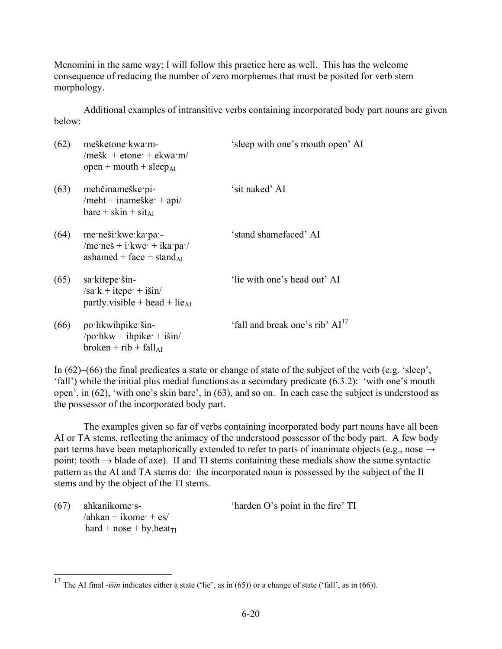Menomini in the same way; I will follow this practice here as well. This has the welcome consequence of reducing the number of zero morphemes that must be posited for verb stem morphology.

Additional examples of intransitive verbs containing incorporated body part nouns are given below:

| (62) | mešketone kwa m-<br>/mešk + etone + ekwa m/<br>open + mouth + sleep <sub>AI</sub>          | 'sleep with one's mouth open' AI            |
|------|--------------------------------------------------------------------------------------------|---------------------------------------------|
| (63) | mehčinameške pi-<br>/meht + inameške $+$ api/<br>$bare + skin + sit_{AI}$                  | 'sit naked' AI                              |
| (64) | me neši kwe ka pa -<br>/me·neš + i·kwe· + ika·pa·/<br>ashamed + face + stand <sub>AI</sub> | 'stand shamefaced' AI                       |
| (65) | sa kitepe šin-<br>$/sa$ ·k + itepe· + išin/<br>partly visible + head + lie <sub>AI</sub>   | 'lie with one's head out' AI                |
| (66) | po hkwihpike šin-<br>/po·hkw + ihpike· + išin/<br>$broken + rib + fall_{AI}$               | 'fall and break one's rib' AI <sup>17</sup> |

In (62)–(66) the final predicates a state or change of state of the subject of the verb (e.g. 'sleep', 'fall') while the initial plus medial functions as a secondary predicate (6.3.2): 'with one's mouth open', in (62), 'with one's skin bare', in (63), and so on. In each case the subject is understood as the possessor of the incorporated body part.

The examples given so far of verbs containing incorporated body part nouns have all been AI or TA stems, reflecting the animacy of the understood possessor of the body part. A few body part terms have been metaphorically extended to refer to parts of inanimate objects (e.g., nose  $\rightarrow$ point; tooth  $\rightarrow$  blade of axe). If and TI stems containing these medials show the same syntactic pattern as the AI and TA stems do: the incorporated noun is possessed by the subject of the II stems and by the object of the TI stems.

 $/ahkan + ikome + es/$ hard + nose + by.heat<sub>TI</sub>

<u>.</u>

(67) ahkanikome·s- 'harden O's point in the fire' TI

<sup>&</sup>lt;sup>17</sup> The AI final *-išin* indicates either a state ('lie', as in (65)) or a change of state ('fall', as in (66)).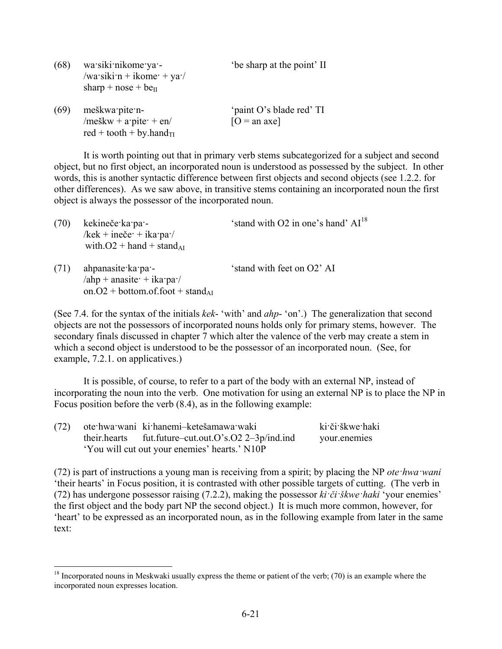| (68) | wa siki nikome ya -<br>/wa·siki·n + ikome· + ya·/<br>sharp + $nose + be_{II}$    | 'be sharp at the point' II                 |
|------|----------------------------------------------------------------------------------|--------------------------------------------|
| (69) | meškwa pite n-<br>/meškw + a·pite· + en/<br>red + tooth + by.hand $_{\text{TI}}$ | 'paint O's blade red' TI<br>$[O = an axe]$ |

It is worth pointing out that in primary verb stems subcategorized for a subject and second object, but no first object, an incorporated noun is understood as possessed by the subject. In other words, this is another syntactic difference between first objects and second objects (see 1.2.2. for other differences). As we saw above, in transitive stems containing an incorporated noun the first object is always the possessor of the incorporated noun.

| (70) | kekineče ka pa -<br>/kek + ineče $\cdot$ + ika $\cdot$ pa $\cdot$ /<br>with $O2 +$ hand + stand <sub>AI</sub>        | 'stand with O2 in one's hand' AI <sup>18</sup> |
|------|----------------------------------------------------------------------------------------------------------------------|------------------------------------------------|
| (71) | ahpanasite ka pa -<br>$\lambda$ ahp + anasite + ika pa $\lambda$<br>on. $O2 + bottom.$ of.foot + stand <sub>AI</sub> | 'stand with feet on O2' AI                     |

(See 7.4. for the syntax of the initials *kek*- 'with' and *ahp*- 'on'.) The generalization that second objects are not the possessors of incorporated nouns holds only for primary stems, however. The secondary finals discussed in chapter 7 which alter the valence of the verb may create a stem in which a second object is understood to be the possessor of an incorporated noun. (See, for example, 7.2.1. on applicatives.)

It is possible, of course, to refer to a part of the body with an external NP, instead of incorporating the noun into the verb. One motivation for using an external NP is to place the NP in Focus position before the verb (8.4), as in the following example:

|                                               | (72) ote hwa wani ki hanemi-ketešamawa waki            | ki či škwe haki |
|-----------------------------------------------|--------------------------------------------------------|-----------------|
|                                               | their.hearts fut.future-cut.out.O's.O2 $2-3p/ind$ .ind | your enemies    |
| 'You will cut out your enemies' hearts.' N10P |                                                        |                 |

1

(72) is part of instructions a young man is receiving from a spirit; by placing the NP *ote·hwa·wani* 'their hearts' in Focus position, it is contrasted with other possible targets of cutting. (The verb in (72) has undergone possessor raising (7.2.2), making the possessor *ki·či·škwe·haki* 'your enemies' the first object and the body part NP the second object.) It is much more common, however, for 'heart' to be expressed as an incorporated noun, as in the following example from later in the same text:

 $18$  Incorporated nouns in Meskwaki usually express the theme or patient of the verb; (70) is an example where the incorporated noun expresses location.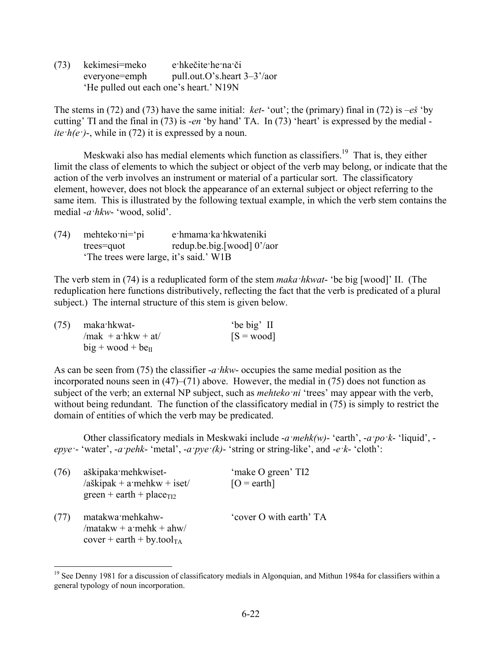(73) kekimesi=meko e·hkečite·he·na·či everyone=emph pull.out.O's.heart 3–3'/aor 'He pulled out each one's heart.' N19N

The stems in (72) and (73) have the same initial: *ket*- 'out'; the (primary) final in (72) is –*eš* 'by cutting' TI and the final in (73) is -*en* 'by hand' TA. In (73) 'heart' is expressed by the medial *ite*  $h(e^-)$ -, while in (72) it is expressed by a noun.

Meskwaki also has medial elements which function as classifiers.<sup>19</sup> That is, they either limit the class of elements to which the subject or object of the verb may belong, or indicate that the action of the verb involves an instrument or material of a particular sort. The classificatory element, however, does not block the appearance of an external subject or object referring to the same item. This is illustrated by the following textual example, in which the verb stem contains the medial -*a·hkw*- 'wood, solid'.

| (74) | mehteko $\text{ni}=\text{pi}$          | e hmama ka hkwateniki      |
|------|----------------------------------------|----------------------------|
|      | trees=quot                             | redup.be.big.[wood] 0'/aor |
|      | 'The trees were large, it's said.' W1B |                            |

The verb stem in (74) is a reduplicated form of the stem *maka·hkwat*- 'be big [wood]' II. (The reduplication here functions distributively, reflecting the fact that the verb is predicated of a plural subject.) The internal structure of this stem is given below.

| $(75)$ maka hkwat-       | 'be big' II  |
|--------------------------|--------------|
| $/$ mak + a·hkw + at $/$ | $[S = wood]$ |
| $big + wood + be_{II}$   |              |

As can be seen from (75) the classifier -*a·hkw*- occupies the same medial position as the incorporated nouns seen in  $(47)$ – $(71)$  above. However, the medial in  $(75)$  does not function as subject of the verb; an external NP subject, such as *mehteko·ni* 'trees' may appear with the verb, without being redundant. The function of the classificatory medial in (75) is simply to restrict the domain of entities of which the verb may be predicated.

Other classificatory medials in Meskwaki include -*a·mehk(w)*- 'earth', -*a·po·k*- 'liquid', *epye·*- 'water', -*a·pehk*- 'metal', -*a·pye·(k)*- 'string or string-like', and -*e·k*- 'cloth':

| (76) | aškipaka mehkwiset-<br>$a\{\text{skipak} + a\}$ mehkw + iset<br>$green + earth + placeT12$ | 'make O green' TI2<br>$[O = \text{earth}]$ |
|------|--------------------------------------------------------------------------------------------|--------------------------------------------|
| (77) | matakwa mehkahw-<br>$/$ matakw + a·mehk + ahw<br>$cover + earth + by.toolTA$               | 'cover O with earth' TA                    |

1

<sup>&</sup>lt;sup>19</sup> See Denny 1981 for a discussion of classificatory medials in Algonquian, and Mithun 1984a for classifiers within a general typology of noun incorporation.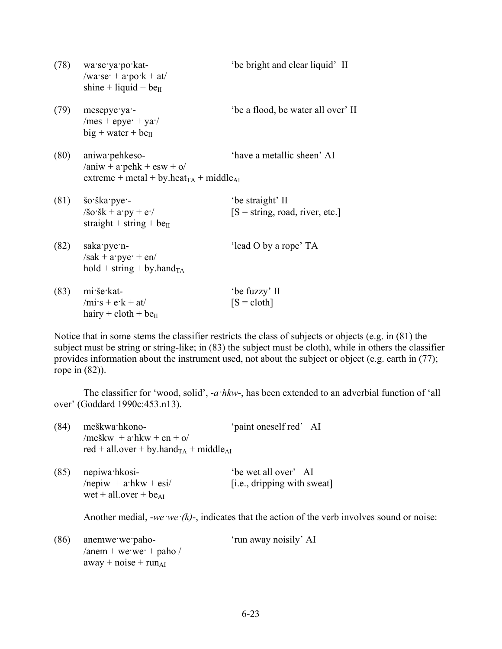| (78) | wa se ya po kat-<br>$/wa \text{·se·} + a \text{·po·k} + at/$<br>shine + liquid + $be_{II}$                       | 'be bright and clear liquid' II                       |
|------|------------------------------------------------------------------------------------------------------------------|-------------------------------------------------------|
| (79) | mesepye ya -<br>$/mes + epye + ya'$<br>$big + water + be_{II}$                                                   | 'be a flood, be water all over' II                    |
| (80) | aniwa pehkeso-<br>$/$ aniw + a·pehk + esw + o/<br>extreme + metal + by.heat <sub>TA</sub> + middle <sub>AI</sub> | 'have a metallic sheen' AI                            |
| (81) | šo ška pye -<br>$\sin(kx) + a'py + e'$<br>straight + string + $be_{II}$                                          | 'be straight' II<br>$[S = string, road, river, etc.]$ |
| (82) | saka pye n-<br>$/sak + apye + en/$<br>$hold + string + by. handTA$                                               | 'lead O by a rope' TA                                 |
| (83) | mi še kat-<br>$/mi$ s + e k + at/<br>hairy + cloth + be $\mu$                                                    | 'be fuzzy' II<br>$[S = \text{cloth}]$                 |

Notice that in some stems the classifier restricts the class of subjects or objects (e.g. in (81) the subject must be string or string-like; in (83) the subject must be cloth), while in others the classifier provides information about the instrument used, not about the subject or object (e.g. earth in (77); rope in (82)).

The classifier for 'wood, solid', -*a·hkw*-, has been extended to an adverbial function of 'all over' (Goddard 1990c:453.n13).

| (84) | meškwa hkono-                                                 | 'paint oneself red' AI |  |
|------|---------------------------------------------------------------|------------------------|--|
|      | /meškw + $a$ ·hkw + en + o/                                   |                        |  |
|      | red + all.over + by.hand <sub>TA</sub> + middle <sub>AI</sub> |                        |  |
|      |                                                               |                        |  |

| $(85)$ nepiwa hkosi-        | 'be wet all over' AI        |
|-----------------------------|-----------------------------|
| /nepiw $+ a$ ·hkw $+ e$ si/ | [i.e., dripping with sweat] |
| wet + all.over + $be_{AI}$  |                             |

Another medial, -*we ·we*  $\cdot$ *(k)*-, indicates that the action of the verb involves sound or noise:

| (86) anemwe we paho-      | 'run away noisily' AI |
|---------------------------|-----------------------|
| /anem + we we $+$ paho /  |                       |
| away + noise + $run_{AI}$ |                       |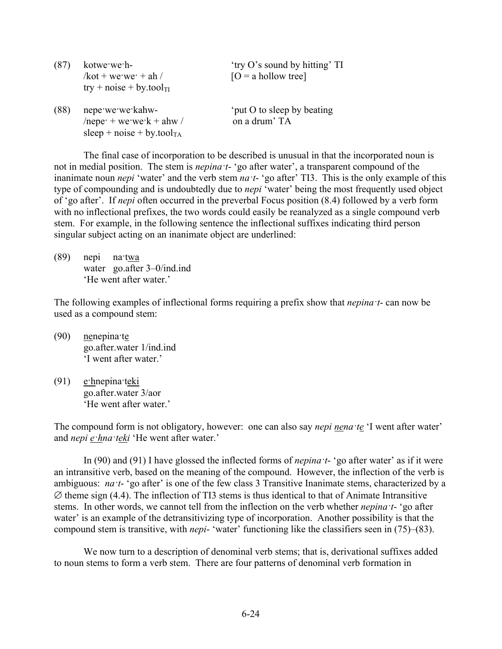| (87) | kotwe we h-<br>$/$ kot + we·we· + ah $/$<br>$try + noise + by.toolTI$                    | 'try O's sound by hitting' TI<br>$[O = a$ hollow tree] |
|------|------------------------------------------------------------------------------------------|--------------------------------------------------------|
| (88) | nepe we we kahw-<br>/nepe $+$ we we $k +$ ahw /<br>sleep + noise + by.tool <sub>TA</sub> | 'put O to sleep by beating<br>on a drum' TA            |

The final case of incorporation to be described is unusual in that the incorporated noun is not in medial position. The stem is *nepina·t*- 'go after water', a transparent compound of the inanimate noun *nepi* 'water' and the verb stem *na·t*- 'go after' TI3. This is the only example of this type of compounding and is undoubtedly due to *nepi* 'water' being the most frequently used object of 'go after'. If *nepi* often occurred in the preverbal Focus position (8.4) followed by a verb form with no inflectional prefixes, the two words could easily be reanalyzed as a single compound verb stem. For example, in the following sentence the inflectional suffixes indicating third person singular subject acting on an inanimate object are underlined:

(89) nepi na·twa water go.after 3–0/ind.ind 'He went after water.'

The following examples of inflectional forms requiring a prefix show that *nepina·t*- can now be used as a compound stem:

- (90) nenepina·te go.after.water 1/ind.ind 'I went after water.'
- (91) e·hnepina·teki go.after.water 3/aor 'He went after water.'

The compound form is not obligatory, however: one can also say *nepi nena·te* 'I went after water' and *nepi e·hna·teki* 'He went after water.'

In (90) and (91) I have glossed the inflected forms of *nepina·t*- 'go after water' as if it were an intransitive verb, based on the meaning of the compound. However, the inflection of the verb is ambiguous: *na*<sup>*t*</sup>- 'go after' is one of the few class 3 Transitive Inanimate stems, characterized by a  $\varnothing$  theme sign (4.4). The inflection of TI3 stems is thus identical to that of Animate Intransitive stems. In other words, we cannot tell from the inflection on the verb whether *nepina·t*- 'go after water' is an example of the detransitivizing type of incorporation. Another possibility is that the compound stem is transitive, with *nepi*- 'water' functioning like the classifiers seen in (75)–(83).

We now turn to a description of denominal verb stems; that is, derivational suffixes added to noun stems to form a verb stem. There are four patterns of denominal verb formation in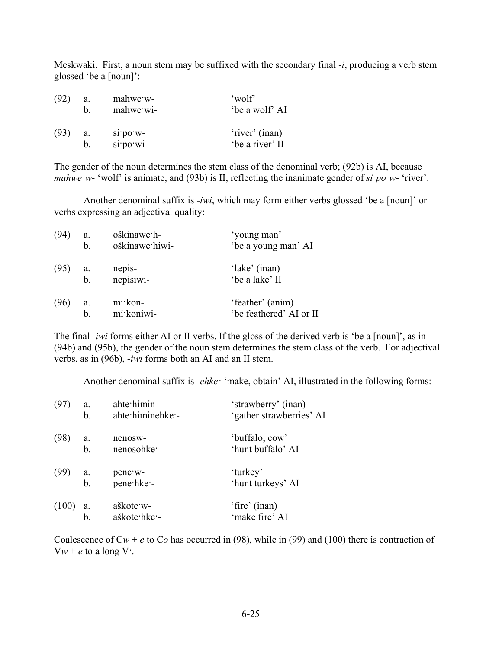Meskwaki. First, a noun stem may be suffixed with the secondary final -*i*, producing a verb stem glossed 'be a [noun]':

| (92) | a. | mahwe w-        | 'wolf'          |
|------|----|-----------------|-----------------|
|      | h. | mahwe wi-       | 'be a wolf' AI  |
| (93) | a. | $\sin$ po $w$ - | 'river' (inan)  |
|      | b. | si po wi-       | 'be a river' II |

The gender of the noun determines the stem class of the denominal verb; (92b) is AI, because *mahwe·w*- 'wolf' is animate, and (93b) is II, reflecting the inanimate gender of *si·po·w*- 'river'.

Another denominal suffix is -*iwi*, which may form either verbs glossed 'be a [noun]' or verbs expressing an adjectival quality:

| (94) | a.            | oškinawe h-    | 'young man'             |
|------|---------------|----------------|-------------------------|
|      | $\mathbf b$ . | oškinawe hiwi- | 'be a young man' AI     |
| (95) | а.            | nepis-         | 'lake' (inan)           |
|      | b.            | nepisiwi-      | 'be a lake' II          |
| (96) | a.            | mi kon-        | 'feather' (anim)        |
|      | b.            | mi koniwi-     | 'be feathered' AI or II |

The final -*iwi* forms either AI or II verbs. If the gloss of the derived verb is 'be a [noun]', as in (94b) and (95b), the gender of the noun stem determines the stem class of the verb. For adjectival verbs, as in (96b), -*iwi* forms both an AI and an II stem.

Another denominal suffix is -*ehke·* 'make, obtain' AI, illustrated in the following forms:

| (97)  | a. | ahte himin-               | 'strawberry' (inan)             |
|-------|----|---------------------------|---------------------------------|
|       | b. | ahte himinehke -          | 'gather strawberries' AI        |
| (98)  | a. | nenosw-                   | 'buffalo; cow'                  |
|       | b. | nenosohke -               | 'hunt buffalo' AI               |
| (99)  | a. | pene w-                   | 'turkey'                        |
|       | b. | pene hke -                | 'hunt turkeys' AI               |
| (100) |    | aškote w-<br>aškote hke - | 'fire' (inan)<br>'make fire' AI |

Coalescence of  $Cw + e$  to  $Co$  has occurred in (98), while in (99) and (100) there is contraction of  $Vw + e$  to a long V.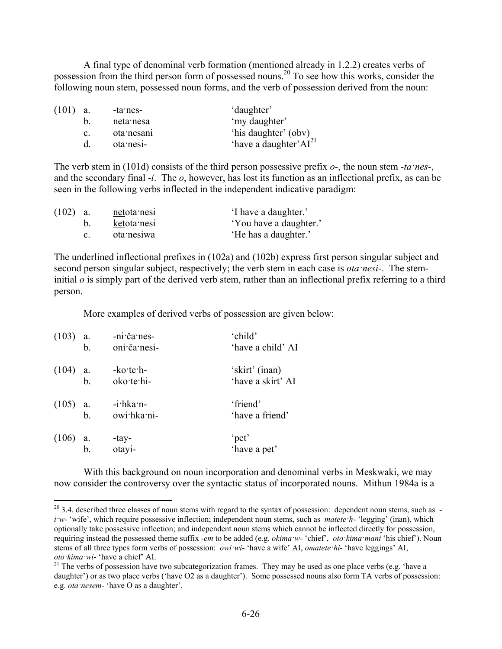A final type of denominal verb formation (mentioned already in 1.2.2) creates verbs of possession from the third person form of possessed nouns.20 To see how this works, consider the following noun stem, possessed noun forms, and the verb of possession derived from the noun:

| $(101)$ a. |                | -ta·nes-   | 'daughter'                         |
|------------|----------------|------------|------------------------------------|
|            |                | neta nesa  | 'my daughter'                      |
|            | $\mathbf{c}$ . | ota nesani | 'his daughter' (obv)               |
|            | d.             | ota nesi-  | 'have a daughter' AI <sup>21</sup> |

The verb stem in (101d) consists of the third person possessive prefix *o*-, the noun stem -*ta·nes*-, and the secondary final -*i*. The *o*, however, has lost its function as an inflectional prefix, as can be seen in the following verbs inflected in the independent indicative paradigm:

| (102) | a.    | netota nesi | I have a daughter.'    |
|-------|-------|-------------|------------------------|
|       | $b$ . | ketota nesi | 'You have a daughter.' |
|       |       | ota nesiwa  | 'He has a daughter.'   |

The underlined inflectional prefixes in (102a) and (102b) express first person singular subject and second person singular subject, respectively; the verb stem in each case is *ota·nesi*-. The steminitial *o* is simply part of the derived verb stem, rather than an inflectional prefix referring to a third person.

More examples of derived verbs of possession are given below:

| (103)      | a.             | -ni·ča·nes-                | 'child'                     |
|------------|----------------|----------------------------|-----------------------------|
|            | b.             | oni ča nesi-               | 'have a child' AI           |
| (104)      | a.             | $-ko$ te $h$ -             | 'skirt' (inan)              |
|            | $\mathbf{b}$ . | oko te hi-                 | 'have a skirt' AI           |
| $(105)$ a. | b <sub>1</sub> | $-i$ hka n-<br>owi hka ni- | 'friend'<br>'have a friend' |
| (106)      | a.<br>b.       | -tay-<br>otayi-            | 'pet'<br>'have a pet'       |

1

With this background on noun incorporation and denominal verbs in Meskwaki, we may now consider the controversy over the syntactic status of incorporated nouns. Mithun 1984a is a

 $20$  3.4. described three classes of noun stems with regard to the syntax of possession: dependent noun stems, such as  $$ *i·w*- 'wife', which require possessive inflection; independent noun stems, such as *matete·h*- 'legging' (inan), which optionally take possessive inflection; and independent noun stems which cannot be inflected directly for possession, requiring instead the possessed theme suffix -*em* to be added (e.g. *okima·w*- 'chief', *oto·kima·mani* 'his chief'). Noun stems of all three types form verbs of possession: *owi·wi*- 'have a wife' AI, *omatete·hi*- 'have leggings' AI, *oto ·kima ·wi*- 'have a chief' AI.

 $21$  The verbs of possession have two subcategorization frames. They may be used as one place verbs (e.g. 'have a daughter') or as two place verbs ('have O2 as a daughter'). Some possessed nouns also form TA verbs of possession: e.g. *ota·nesem*- 'have O as a daughter'.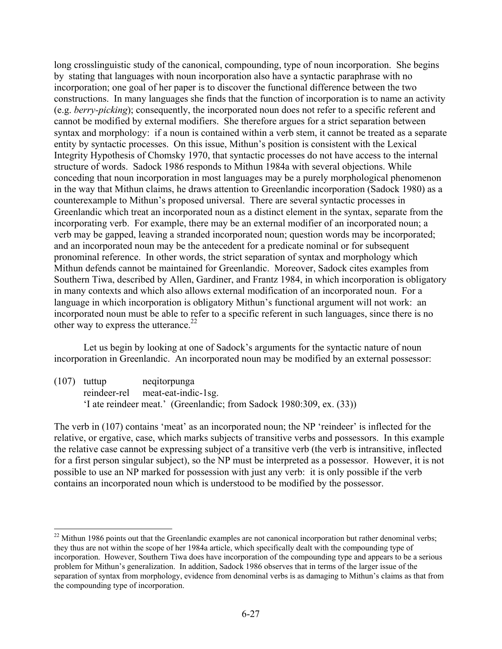long crosslinguistic study of the canonical, compounding, type of noun incorporation. She begins by stating that languages with noun incorporation also have a syntactic paraphrase with no incorporation; one goal of her paper is to discover the functional difference between the two constructions. In many languages she finds that the function of incorporation is to name an activity (e.g. *berry-picking*); consequently, the incorporated noun does not refer to a specific referent and cannot be modified by external modifiers. She therefore argues for a strict separation between syntax and morphology: if a noun is contained within a verb stem, it cannot be treated as a separate entity by syntactic processes. On this issue, Mithun's position is consistent with the Lexical Integrity Hypothesis of Chomsky 1970, that syntactic processes do not have access to the internal structure of words. Sadock 1986 responds to Mithun 1984a with several objections. While conceding that noun incorporation in most languages may be a purely morphological phenomenon in the way that Mithun claims, he draws attention to Greenlandic incorporation (Sadock 1980) as a counterexample to Mithun's proposed universal. There are several syntactic processes in Greenlandic which treat an incorporated noun as a distinct element in the syntax, separate from the incorporating verb. For example, there may be an external modifier of an incorporated noun; a verb may be gapped, leaving a stranded incorporated noun; question words may be incorporated; and an incorporated noun may be the antecedent for a predicate nominal or for subsequent pronominal reference. In other words, the strict separation of syntax and morphology which Mithun defends cannot be maintained for Greenlandic. Moreover, Sadock cites examples from Southern Tiwa, described by Allen, Gardiner, and Frantz 1984, in which incorporation is obligatory in many contexts and which also allows external modification of an incorporated noun. For a language in which incorporation is obligatory Mithun's functional argument will not work: an incorporated noun must be able to refer to a specific referent in such languages, since there is no other way to express the utterance. $2^2$ 

Let us begin by looking at one of Sadock's arguments for the syntactic nature of noun incorporation in Greenlandic. An incorporated noun may be modified by an external possessor:

(107) tuttup neqitorpunga reindeer-rel meat-eat-indic-1sg. 'I ate reindeer meat.' (Greenlandic; from Sadock 1980:309, ex. (33))

1

The verb in (107) contains 'meat' as an incorporated noun; the NP 'reindeer' is inflected for the relative, or ergative, case, which marks subjects of transitive verbs and possessors. In this example the relative case cannot be expressing subject of a transitive verb (the verb is intransitive, inflected for a first person singular subject), so the NP must be interpreted as a possessor. However, it is not possible to use an NP marked for possession with just any verb: it is only possible if the verb contains an incorporated noun which is understood to be modified by the possessor.

<sup>&</sup>lt;sup>22</sup> Mithun 1986 points out that the Greenlandic examples are not canonical incorporation but rather denominal verbs; they thus are not within the scope of her 1984a article, which specifically dealt with the compounding type of incorporation. However, Southern Tiwa does have incorporation of the compounding type and appears to be a serious problem for Mithun's generalization. In addition, Sadock 1986 observes that in terms of the larger issue of the separation of syntax from morphology, evidence from denominal verbs is as damaging to Mithun's claims as that from the compounding type of incorporation.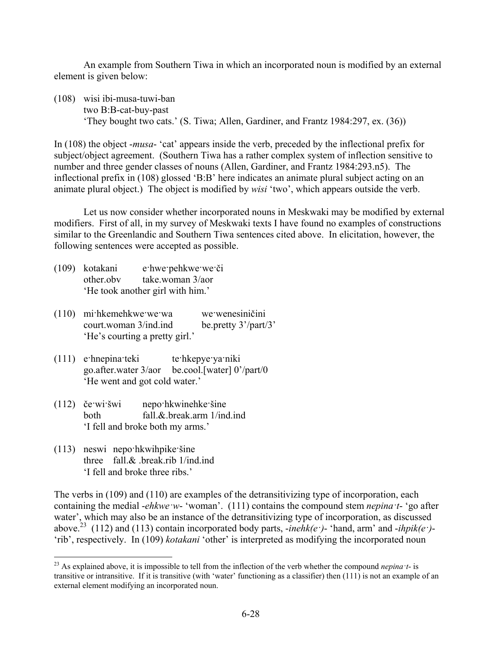An example from Southern Tiwa in which an incorporated noun is modified by an external element is given below:

(108) wisi ibi-musa-tuwi-ban two B:B-cat-buy-past 'They bought two cats.' (S. Tiwa; Allen, Gardiner, and Frantz 1984:297, ex. (36))

In (108) the object -*musa*- 'cat' appears inside the verb, preceded by the inflectional prefix for subject/object agreement. (Southern Tiwa has a rather complex system of inflection sensitive to number and three gender classes of nouns (Allen, Gardiner, and Frantz 1984:293.n5). The inflectional prefix in (108) glossed 'B:B' here indicates an animate plural subject acting on an animate plural object.) The object is modified by *wisi* 'two', which appears outside the verb.

Let us now consider whether incorporated nouns in Meskwaki may be modified by external modifiers. First of all, in my survey of Meskwaki texts I have found no examples of constructions similar to the Greenlandic and Southern Tiwa sentences cited above. In elicitation, however, the following sentences were accepted as possible.

- (109) kotakani e·hwe·pehkwe·we·či other.obv take.woman 3/aor 'He took another girl with him.'
- (110) mi·hkemehkwe·we·wa we·wenesiničini court.woman 3/ind.ind be.pretty 3'/part/3' 'He's courting a pretty girl.'
- (111) e·hnepina·teki te·hkepye·ya·niki go.after.water 3/aor be.cool.[water] 0'/part/0 'He went and got cold water.'
- (112) če·wi·šwi nepo·hkwinehke·šine both fall.&.break.arm 1/ind.ind 'I fell and broke both my arms.'
- (113) neswi nepo·hkwihpike·šine three fall.& .break.rib 1/ind.ind 'I fell and broke three ribs.'

The verbs in (109) and (110) are examples of the detransitivizing type of incorporation, each containing the medial -*ehkwe·w*- 'woman'. (111) contains the compound stem *nepina·t*- 'go after water', which may also be an instance of the detransitivizing type of incorporation, as discussed above.23 (112) and (113) contain incorporated body parts, -*inehk(e·)*- 'hand, arm' and -*ihpik(e·)*- 'rib', respectively. In (109) *kotakani* 'other' is interpreted as modifying the incorporated noun

<sup>1</sup> <sup>23</sup> As explained above, it is impossible to tell from the inflection of the verb whether the compound *nepina*  $\iota$ *t*- is transitive or intransitive. If it is transitive (with 'water' functioning as a classifier) then (111) is not an example of an external element modifying an incorporated noun.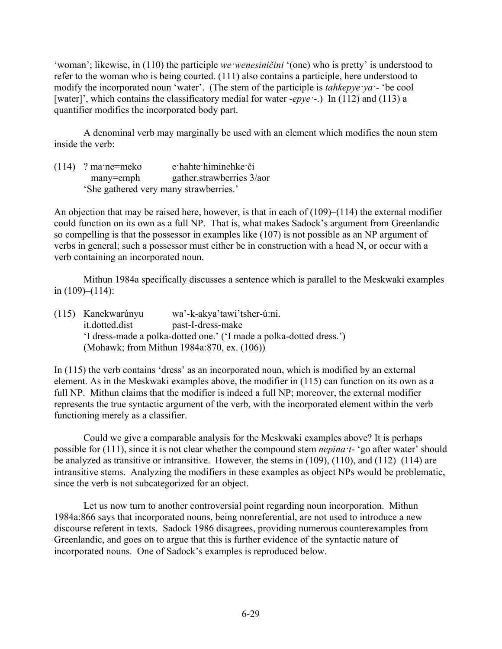'woman'; likewise, in (110) the participle *we·wenesiničini* '(one) who is pretty' is understood to refer to the woman who is being courted. (111) also contains a participle, here understood to modify the incorporated noun 'water'. (The stem of the participle is *tahkepye·ya·*- 'be cool [water]', which contains the classificatory medial for water *-epye* · .) In (112) and (113) a quantifier modifies the incorporated body part.

A denominal verb may marginally be used with an element which modifies the noun stem inside the verb:

(114) ? ma·ne=meko e·hahte·himinehke·či many=emph gather.strawberries 3/aor 'She gathered very many strawberries.'

An objection that may be raised here, however, is that in each of (109)–(114) the external modifier could function on its own as a full NP. That is, what makes Sadock's argument from Greenlandic so compelling is that the possessor in examples like (107) is not possible as an NP argument of verbs in general; such a possessor must either be in construction with a head N, or occur with a verb containing an incorporated noun.

Mithun 1984a specifically discusses a sentence which is parallel to the Meskwaki examples in (109)–(114):

| (115) Kanekwarúnyu | wa'-k-akya'tawi'tsher-ú:ni.                                         |
|--------------------|---------------------------------------------------------------------|
| it.dotted.dist     | past-I-dress-make                                                   |
|                    | 'I dress-made a polka-dotted one.' ('I made a polka-dotted dress.') |
|                    | (Mohawk; from Mithun 1984a:870, ex. (106))                          |

In (115) the verb contains 'dress' as an incorporated noun, which is modified by an external element. As in the Meskwaki examples above, the modifier in (115) can function on its own as a full NP. Mithun claims that the modifier is indeed a full NP; moreover, the external modifier represents the true syntactic argument of the verb, with the incorporated element within the verb functioning merely as a classifier.

Could we give a comparable analysis for the Meskwaki examples above? It is perhaps possible for (111), since it is not clear whether the compound stem *nepina·t*- 'go after water' should be analyzed as transitive or intransitive. However, the stems in (109), (110), and (112)–(114) are intransitive stems. Analyzing the modifiers in these examples as object NPs would be problematic, since the verb is not subcategorized for an object.

Let us now turn to another controversial point regarding noun incorporation. Mithun 1984a:866 says that incorporated nouns, being nonreferential, are not used to introduce a new discourse referent in texts. Sadock 1986 disagrees, providing numerous counterexamples from Greenlandic, and goes on to argue that this is further evidence of the syntactic nature of incorporated nouns. One of Sadock's examples is reproduced below.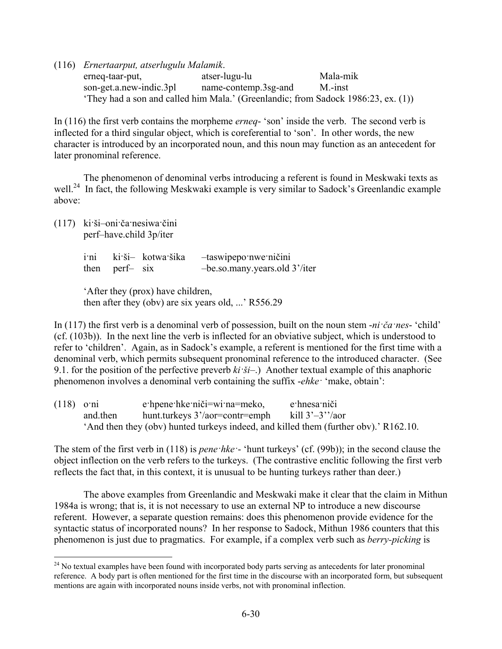(116) *Ernertaarput, atserlugulu Malamik*.

erneq-taar-put, atser-lugu-lu Mala-mik son-get.a.new-indic.3pl name-contemp.3sg-and M.-inst 'They had a son and called him Mala.' (Greenlandic; from Sadock 1986:23, ex. (1))

In (116) the first verb contains the morpheme *erneq*- 'son' inside the verb. The second verb is inflected for a third singular object, which is coreferential to 'son'. In other words, the new character is introduced by an incorporated noun, and this noun may function as an antecedent for later pronominal reference.

The phenomenon of denominal verbs introducing a referent is found in Meskwaki texts as well.<sup>24</sup> In fact, the following Meskwaki example is very similar to Sadock's Greenlandic example above:

(117) ki·ši–oni·ča·nesiwa·čini perf–have.child 3p/iter

1

| i <sup>ni</sup> |                | ki ši- kotwa šika | -taswipepo nwe ničini         |
|-----------------|----------------|-------------------|-------------------------------|
|                 | then perf- six |                   | -be.so.many.years.old 3'/iter |

'After they (prox) have children, then after they (obv) are six years old, ...' R556.29

In (117) the first verb is a denominal verb of possession, built on the noun stem -*ni·ča·nes*- 'child' (cf. (103b)). In the next line the verb is inflected for an obviative subject, which is understood to refer to 'children'. Again, as in Sadock's example, a referent is mentioned for the first time with a denominal verb, which permits subsequent pronominal reference to the introduced character. (See 9.1. for the position of the perfective preverb *ki·ši*–.) Another textual example of this anaphoric phenomenon involves a denominal verb containing the suffix -*ehke·* 'make, obtain':

| $(118)$ o'ni |          | e hpene hke niči=wi na=meko,                                                         | e hnesa niči |
|--------------|----------|--------------------------------------------------------------------------------------|--------------|
|              | and then | hunt.turkeys $3'/\text{aor}$ =contr=emph kill $3'-3''/\text{aor}$                    |              |
|              |          | 'And then they (obv) hunted turkeys indeed, and killed them (further obv).' R162.10. |              |

The stem of the first verb in (118) is *pene·hke·*- 'hunt turkeys' (cf. (99b)); in the second clause the object inflection on the verb refers to the turkeys. (The contrastive enclitic following the first verb reflects the fact that, in this context, it is unusual to be hunting turkeys rather than deer.)

The above examples from Greenlandic and Meskwaki make it clear that the claim in Mithun 1984a is wrong; that is, it is not necessary to use an external NP to introduce a new discourse referent. However, a separate question remains: does this phenomenon provide evidence for the syntactic status of incorporated nouns? In her response to Sadock, Mithun 1986 counters that this phenomenon is just due to pragmatics. For example, if a complex verb such as *berry-picking* is

<sup>&</sup>lt;sup>24</sup> No textual examples have been found with incorporated body parts serving as antecedents for later pronominal reference. A body part is often mentioned for the first time in the discourse with an incorporated form, but subsequent mentions are again with incorporated nouns inside verbs, not with pronominal inflection.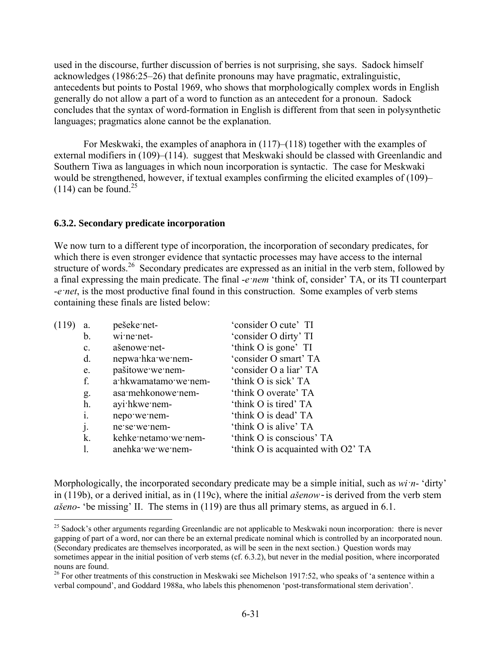used in the discourse, further discussion of berries is not surprising, she says. Sadock himself acknowledges (1986:25–26) that definite pronouns may have pragmatic, extralinguistic, antecedents but points to Postal 1969, who shows that morphologically complex words in English generally do not allow a part of a word to function as an antecedent for a pronoun. Sadock concludes that the syntax of word-formation in English is different from that seen in polysynthetic languages; pragmatics alone cannot be the explanation.

For Meskwaki, the examples of anaphora in (117)–(118) together with the examples of external modifiers in (109)–(114). suggest that Meskwaki should be classed with Greenlandic and Southern Tiwa as languages in which noun incorporation is syntactic. The case for Meskwaki would be strengthened, however, if textual examples confirming the elicited examples of (109)–  $(114)$  can be found.<sup>25</sup>

#### **6.3.2. Secondary predicate incorporation**

<u>.</u>

We now turn to a different type of incorporation, the incorporation of secondary predicates, for which there is even stronger evidence that syntactic processes may have access to the internal structure of words.<sup>26</sup> Secondary predicates are expressed as an initial in the verb stem, followed by a final expressing the main predicate. The final -*e·nem* 'think of, consider' TA, or its TI counterpart -*e·net*, is the most productive final found in this construction. Some examples of verb stems containing these finals are listed below:

| (119) | a.          | pešeke net-          | 'consider O cute' TI               |
|-------|-------------|----------------------|------------------------------------|
|       | b.          | wine net-            | 'consider O dirty' TI              |
|       | $c_{\cdot}$ | ašenowe net-         | 'think O is gone' TI               |
|       | d.          | nepwa hka we nem-    | 'consider O smart' TA              |
|       | e.          | pašitowe we nem-     | 'consider O a liar' TA             |
|       | f.          | a hkwamatamo we nem- | 'think O is sick' TA               |
|       | g.          | asa mehkonowe nem-   | 'think O overate' TA               |
|       | h.          | ayi hkwe nem-        | 'think O is tired' TA              |
|       | i.          | nepo we nem-         | 'think O is dead' TA               |
|       | j.          | ne se we nem-        | 'think O is alive' TA              |
|       | k.          | kehke netamo we nem- | 'think O is conscious' TA          |
|       |             | anehka we we nem-    | 'think O is acquainted with O2' TA |

Morphologically, the incorporated secondary predicate may be a simple initial, such as *wi·n*- 'dirty' in (119b), or a derived initial, as in (119c), where the initial *ašenow*-is derived from the verb stem *ašeno*- 'be missing' II. The stems in (119) are thus all primary stems, as argued in 6.1.

 $25$  Sadock's other arguments regarding Greenlandic are not applicable to Meskwaki noun incorporation: there is never gapping of part of a word, nor can there be an external predicate nominal which is controlled by an incorporated noun. (Secondary predicates are themselves incorporated, as will be seen in the next section.) Question words may sometimes appear in the initial position of verb stems (cf. 6.3.2), but never in the medial position, where incorporated nouns are found.

 $26$  For other treatments of this construction in Meskwaki see Michelson 1917:52, who speaks of 'a sentence within a verbal compound', and Goddard 1988a, who labels this phenomenon 'post-transformational stem derivation'.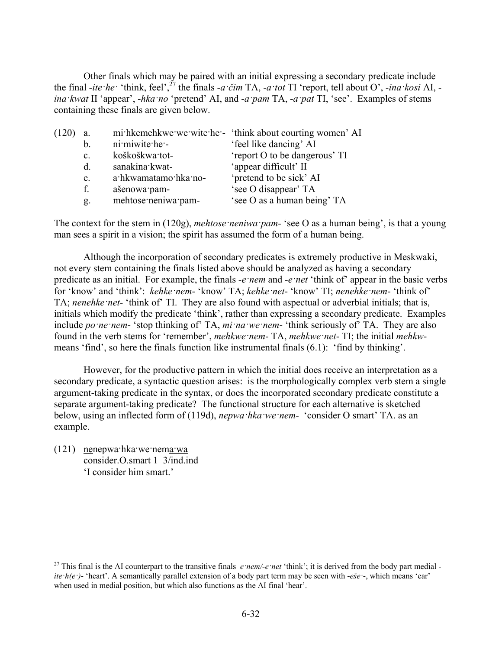Other finals which may be paired with an initial expressing a secondary predicate include the final -*ite* ·*he* · 'think, feel',<sup> $27$ </sup> the finals -*a* ·*čim* TA, -*a* ·*tot* TI 'report, tell about O', -*ina* ·*kosi* AI, *ina·kwat* II 'appear', -*hka·no* 'pretend' AI, and -*a·pam* TA, -*a·pat* TI, 'see'. Examples of stems containing these finals are given below.

| (120 | a.             |                      | mi hkemehkwe we wite he - 'think about courting women' AI |
|------|----------------|----------------------|-----------------------------------------------------------|
|      | b.             | ni miwite he -       | 'feel like dancing' AI                                    |
|      | $\mathbf{c}$ . | koškoškwa tot-       | 'report O to be dangerous' TI                             |
|      | $d_{\cdot}$    | sanakina kwat-       | 'appear difficult' II                                     |
|      | e.             | a·hkwamatamo·hka·no- | 'pretend to be sick' AI                                   |
|      | f.             | ašenowa pam-         | 'see O disappear' TA                                      |
|      | g.             | mehtose neniwa pam-  | 'see O as a human being' TA                               |

The context for the stem in (120g), *mehtose·neniwa·pam*- 'see O as a human being', is that a young man sees a spirit in a vision; the spirit has assumed the form of a human being.

Although the incorporation of secondary predicates is extremely productive in Meskwaki, not every stem containing the finals listed above should be analyzed as having a secondary predicate as an initial. For example, the finals -*e·nem* and -*e·net* 'think of' appear in the basic verbs for 'know' and 'think': *kehke·nem*- 'know' TA; *kehke·net*- 'know' TI; *nenehke·nem*- 'think of' TA; *nenehke·net*- 'think of' TI. They are also found with aspectual or adverbial initials; that is, initials which modify the predicate 'think', rather than expressing a secondary predicate. Examples include *po ne nem*- 'stop thinking of' TA, *mi na we nem*- 'think seriously of' TA. They are also found in the verb stems for 'remember', *mehkwe·nem*- TA, *mehkwe·net*- TI; the initial *mehkw*means 'find', so here the finals function like instrumental finals (6.1): 'find by thinking'.

However, for the productive pattern in which the initial does receive an interpretation as a secondary predicate, a syntactic question arises: is the morphologically complex verb stem a single argument-taking predicate in the syntax, or does the incorporated secondary predicate constitute a separate argument-taking predicate? The functional structure for each alternative is sketched below, using an inflected form of (119d), *nepwa·hka·we·nem*- 'consider O smart' TA. as an example.

(121) nenepwa·hka·we·nema·wa consider.O.smart 1–3/ind.ind 'I consider him smart.'

1

<sup>&</sup>lt;sup>27</sup> This final is the AI counterpart to the transitive finals  $e$ *·nem/-e*·*net* 'think'; it is derived from the body part medial *ite·h(e·)*- 'heart'. A semantically parallel extension of a body part term may be seen with -*eše·*-, which means 'ear' when used in medial position, but which also functions as the AI final 'hear'.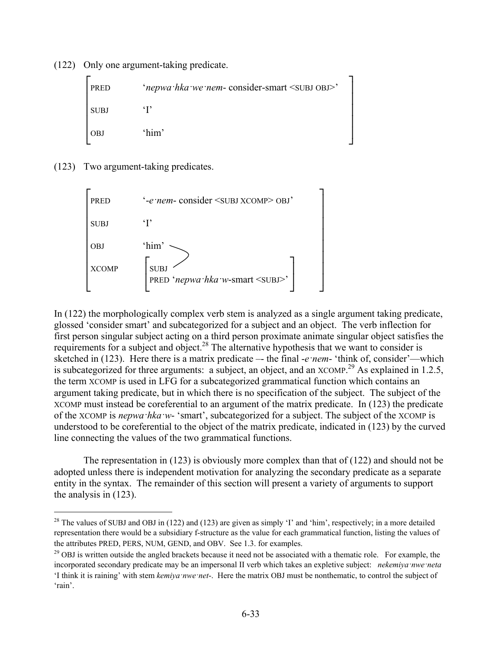(122) Only one argument-taking predicate.

| <b>PRED</b> | 'nepwa hka we nem- consider-smart <subj obj="">'</subj> |
|-------------|---------------------------------------------------------|
| <b>SUBJ</b> |                                                         |
| <b>OBJ</b>  | 'him'                                                   |

(123) Two argument-taking predicates.

1



In (122) the morphologically complex verb stem is analyzed as a single argument taking predicate, glossed 'consider smart' and subcategorized for a subject and an object. The verb inflection for first person singular subject acting on a third person proximate animate singular object satisfies the requirements for a subject and object.28 The alternative hypothesis that we want to consider is sketched in (123). Here there is a matrix predicate –- the final -*e·nem*- 'think of, consider'—which is subcategorized for three arguments: a subject, an object, and an  $XCOMP<sup>29</sup>$  As explained in 1.2.5, the term XCOMP is used in LFG for a subcategorized grammatical function which contains an argument taking predicate, but in which there is no specification of the subject. The subject of the XCOMP must instead be coreferential to an argument of the matrix predicate. In (123) the predicate of the XCOMP is *nepwa·hka·w*- 'smart', subcategorized for a subject. The subject of the XCOMP is understood to be coreferential to the object of the matrix predicate, indicated in (123) by the curved line connecting the values of the two grammatical functions.

The representation in (123) is obviously more complex than that of (122) and should not be adopted unless there is independent motivation for analyzing the secondary predicate as a separate entity in the syntax. The remainder of this section will present a variety of arguments to support the analysis in (123).

<sup>&</sup>lt;sup>28</sup> The values of SUBJ and OBJ in (122) and (123) are given as simply 'I' and 'him', respectively; in a more detailed representation there would be a subsidiary f-structure as the value for each grammatical function, listing the values of the attributes PRED, PERS, NUM, GEND, and OBV. See 1.3. for examples.<br><sup>29</sup> OBJ is written outside the angled brackets because it need not be associated with a thematic role. For example, the

incorporated secondary predicate may be an impersonal II verb which takes an expletive subject: *nekemiya·nwe·neta*  'I think it is raining' with stem *kemiya·nwe·net*-. Here the matrix OBJ must be nonthematic, to control the subject of 'rain'.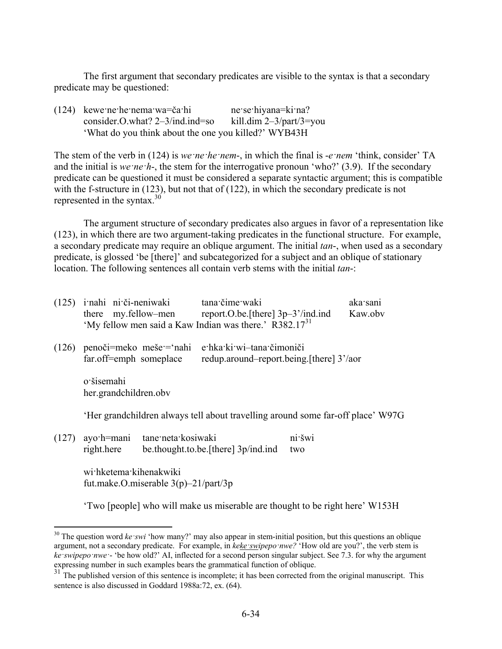The first argument that secondary predicates are visible to the syntax is that a secondary predicate may be questioned:

(124) kewe·ne·he·nema·wa=ča·hi ne·se·hiyana=ki·na? consider.O.what? 2–3/ind.ind=so kill.dim 2–3/part/3=you 'What do you think about the one you killed?' WYB43H

The stem of the verb in (124) is *we·ne·he·nem*-, in which the final is -*e·nem* 'think, consider' TA and the initial is *we ·ne*  $\cdot$ *h*-, the stem for the interrogative pronoun 'who?' (3.9). If the secondary predicate can be questioned it must be considered a separate syntactic argument; this is compatible with the f-structure in (123), but not that of (122), in which the secondary predicate is not represented in the syntax. $30^{3}$ 

The argument structure of secondary predicates also argues in favor of a representation like (123), in which there are two argument-taking predicates in the functional structure. For example, a secondary predicate may require an oblique argument. The initial *tan*-, when used as a secondary predicate, is glossed 'be [there]' and subcategorized for a subject and an oblique of stationary location. The following sentences all contain verb stems with the initial *tan*-:

|       |                                                                   |                    | (125) i nahi ni či-neniwaki tana čime waki<br>there my.fellow-men report.O.be.[there] 3p-3'/ind.ind<br>'My fellow men said a Kaw Indian was there.' R382.17 <sup>31</sup> |               | aka sani<br>Kaw.obv |
|-------|-------------------------------------------------------------------|--------------------|---------------------------------------------------------------------------------------------------------------------------------------------------------------------------|---------------|---------------------|
|       | far.off=emph someplace                                            |                    | $(126)$ penoči=meko meše = nahi e hka ki wi-tana čimoniči<br>redup.around-report.being.[there] 3'/aor                                                                     |               |                     |
|       | o šisemahi<br>her.grandchildren.obv                               |                    |                                                                                                                                                                           |               |                     |
|       |                                                                   |                    | Her grandchildren always tell about travelling around some far-off place' W97G                                                                                            |               |                     |
| (127) | ayo h=mani<br>right.here                                          | tane neta kosiwaki | be thought to be [there] 3p/ind.ind                                                                                                                                       | ni šwi<br>two |                     |
|       | wi:hketema:kihenakwiki<br>fut.make.O.miserable $3(p)$ –21/part/3p |                    |                                                                                                                                                                           |               |                     |

'Two [people] who will make us miserable are thought to be right here' W153H

1

<sup>&</sup>lt;sup>30</sup> The question word *ke swi* 'how many?' may also appear in stem-initial position, but this questions an oblique argument, not a secondary predicate. For example, in *keke swipepo nwe?* 'How old are you?', the verb stem is *ke·swipepo·nwe·*- 'be how old?' AI, inflected for a second person singular subject. See 7.3. for why the argument expressing number in such examples bears the grammatical function of oblique.

<sup>&</sup>lt;sup>31</sup> The published version of this sentence is incomplete; it has been corrected from the original manuscript. This sentence is also discussed in Goddard 1988a:72, ex. (64).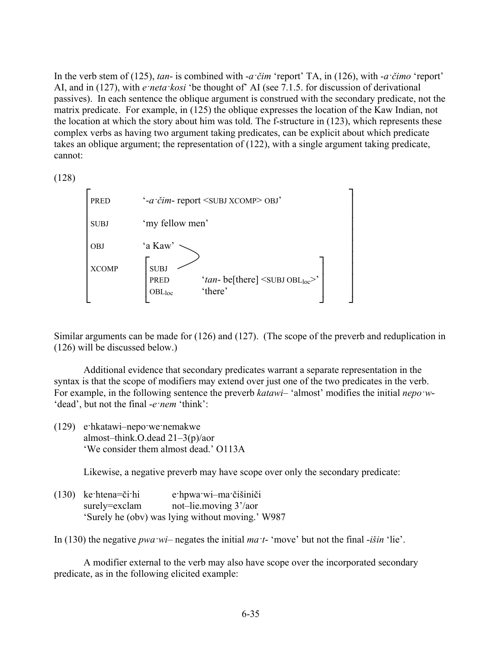In the verb stem of (125), *tan*- is combined with -*a·čim* 'report' TA, in (126), with -*a·čimo* 'report' AI, and in (127), with *e·neta·kosi* 'be thought of' AI (see 7.1.5. for discussion of derivational passives). In each sentence the oblique argument is construed with the secondary predicate, not the matrix predicate. For example, in (125) the oblique expresses the location of the Kaw Indian, not the location at which the story about him was told. The f-structure in (123), which represents these complex verbs as having two argument taking predicates, can be explicit about which predicate takes an oblique argument; the representation of (122), with a single argument taking predicate, cannot:

(128)

| <b>PRED</b>  | '-a čim-report <subj xcomp=""> OBJ'</subj>                                                                                  |
|--------------|-----------------------------------------------------------------------------------------------------------------------------|
| <b>SUBJ</b>  | 'my fellow men'                                                                                                             |
| <b>OBJ</b>   | 'a Kaw'                                                                                                                     |
| <b>XCOMP</b> | <b>SUBJ</b><br>'tan-be[there] $\langle$ SUBJ OBL <sub>loc</sub> $\rangle$ '<br><b>PRED</b><br>'there'<br>OBL <sub>loc</sub> |

Similar arguments can be made for (126) and (127). (The scope of the preverb and reduplication in (126) will be discussed below.)

Additional evidence that secondary predicates warrant a separate representation in the syntax is that the scope of modifiers may extend over just one of the two predicates in the verb. For example, in the following sentence the preverb *katawi*– 'almost' modifies the initial *nepo·w*- 'dead', but not the final -*e·nem* 'think':

(129) e·hkatawi–nepo·we·nemakwe almost–think.O.dead 21–3(p)/aor 'We consider them almost dead.' O113A

Likewise, a negative preverb may have scope over only the secondary predicate:

(130) ke·htena=či·hi e·hpwa·wi–ma·čišiniči surely=exclam not–lie.moving 3'/aor 'Surely he (obv) was lying without moving.' W987

In (130) the negative *pwa·wi*– negates the initial *ma·t*- 'move' but not the final -*išin* 'lie'.

A modifier external to the verb may also have scope over the incorporated secondary predicate, as in the following elicited example: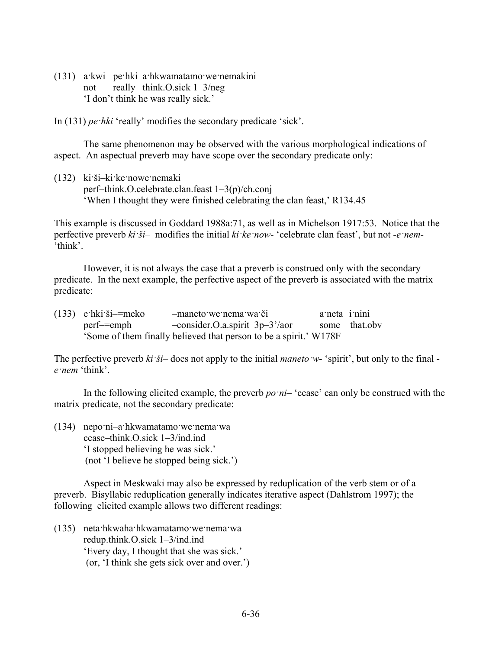(131) a·kwi pe·hki a·hkwamatamo·we·nemakini not really think.O.sick 1–3/neg 'I don't think he was really sick.'

In (131) *pe·hki* 'really' modifies the secondary predicate 'sick'.

The same phenomenon may be observed with the various morphological indications of aspect. An aspectual preverb may have scope over the secondary predicate only:

(132) ki·ši–ki·ke·nowe·nemaki perf–think.O.celebrate.clan.feast 1–3(p)/ch.conj 'When I thought they were finished celebrating the clan feast,' R134.45

This example is discussed in Goddard 1988a:71, as well as in Michelson 1917:53. Notice that the perfective preverb *ki·ši*– modifies the initial *ki·ke·now*- 'celebrate clan feast', but not -*e·nem*- 'think'.

However, it is not always the case that a preverb is construed only with the secondary predicate. In the next example, the perfective aspect of the preverb is associated with the matrix predicate:

| $(133)$ e hki ši = meko | -maneto we nema wa či                                             | a neta i nini |               |
|-------------------------|-------------------------------------------------------------------|---------------|---------------|
| perf—=emph              | $-consider.O.a.spirit 3p-3' / aor$                                |               | some that.obv |
|                         | 'Some of them finally believed that person to be a spirit.' W178F |               |               |

The perfective preverb *ki·ši*– does not apply to the initial *maneto·w*- 'spirit', but only to the final *e·nem* 'think'.

In the following elicited example, the preverb *po·ni*– 'cease' can only be construed with the matrix predicate, not the secondary predicate:

(134) nepo·ni–a·hkwamatamo·we·nema·wa cease–think.O.sick 1–3/ind.ind 'I stopped believing he was sick.' (not 'I believe he stopped being sick.')

Aspect in Meskwaki may also be expressed by reduplication of the verb stem or of a preverb. Bisyllabic reduplication generally indicates iterative aspect (Dahlstrom 1997); the following elicited example allows two different readings:

(135) neta·hkwaha·hkwamatamo·we·nema·wa redup.think.O.sick 1–3/ind.ind 'Every day, I thought that she was sick.' (or, 'I think she gets sick over and over.')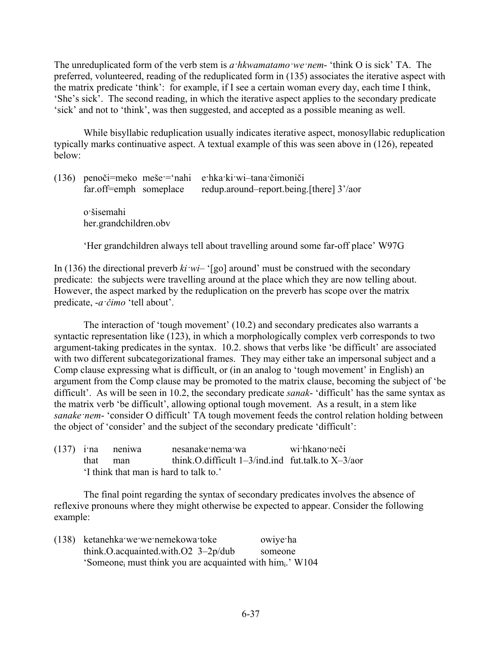The unreduplicated form of the verb stem is *a·hkwamatamo·we·nem*- 'think O is sick' TA. The preferred, volunteered, reading of the reduplicated form in (135) associates the iterative aspect with the matrix predicate 'think': for example, if I see a certain woman every day, each time I think, 'She's sick'. The second reading, in which the iterative aspect applies to the secondary predicate 'sick' and not to 'think', was then suggested, and accepted as a possible meaning as well.

While bisyllabic reduplication usually indicates iterative aspect, monosyllabic reduplication typically marks continuative aspect. A textual example of this was seen above in (126), repeated below:

| far.off=emph someplace              | $(136)$ penoči=meko meše = nahi e hka ki wi-tana čimoniči<br>redup.around-report.being.[there] 3'/aor |
|-------------------------------------|-------------------------------------------------------------------------------------------------------|
| o šisemahi<br>her.grandchildren.obv |                                                                                                       |

'Her grandchildren always tell about travelling around some far-off place' W97G

In (136) the directional preverb  $ki$ *·wi*– '[go] around' must be construed with the secondary predicate: the subjects were travelling around at the place which they are now telling about. However, the aspect marked by the reduplication on the preverb has scope over the matrix predicate, -*a·čimo* 'tell about'.

The interaction of 'tough movement' (10.2) and secondary predicates also warrants a syntactic representation like (123), in which a morphologically complex verb corresponds to two argument-taking predicates in the syntax. 10.2. shows that verbs like 'be difficult' are associated with two different subcategorizational frames. They may either take an impersonal subject and a Comp clause expressing what is difficult, or (in an analog to 'tough movement' in English) an argument from the Comp clause may be promoted to the matrix clause, becoming the subject of 'be difficult'. As will be seen in 10.2, the secondary predicate *sanak*- 'difficult' has the same syntax as the matrix verb 'be difficult', allowing optional tough movement. As a result, in a stem like *sanake·nem*- 'consider O difficult' TA tough movement feeds the control relation holding between the object of 'consider' and the subject of the secondary predicate 'difficult':

|          | $(137)$ ina neniwa                    | nesanake nema wa                                          | wi hkano neči |
|----------|---------------------------------------|-----------------------------------------------------------|---------------|
| that man |                                       | think, O, difficult $1-3$ /ind.ind fut.talk.to $X-3$ /aor |               |
|          | I think that man is hard to talk to.' |                                                           |               |

The final point regarding the syntax of secondary predicates involves the absence of reflexive pronouns where they might otherwise be expected to appear. Consider the following example:

(138) ketanehka·we·we·nemekowa·toke owiye·ha think.O.acquainted.with.O2 3–2p/dub someone 'Someonei must think you are acquainted with himi.' W104